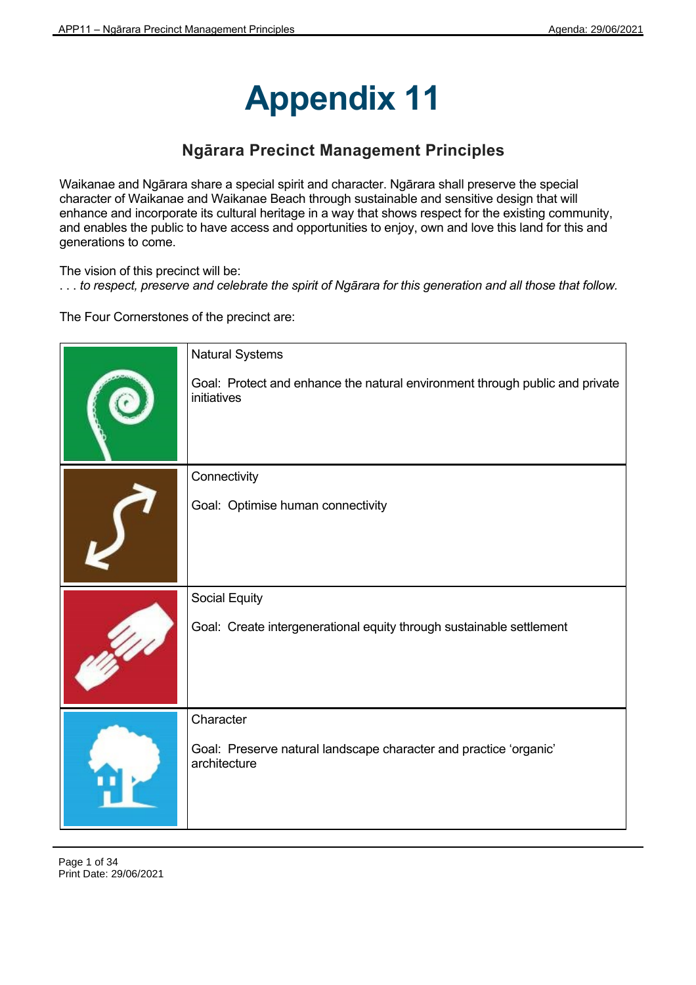# **Appendix 11**

# **Ngārara Precinct Management Principles**

Waikanae and Ngārara share a special spirit and character. Ngārara shall preserve the special character of Waikanae and Waikanae Beach through sustainable and sensitive design that will enhance and incorporate its cultural heritage in a way that shows respect for the existing community, and enables the public to have access and opportunities to enjoy, own and love this land for this and generations to come.

The vision of this precinct will be:

. . . *to respect, preserve and celebrate the spirit of Ngārara for this generation and all those that follow.*

The Four Cornerstones of the precinct are:

| <b>Natural Systems</b>                                                                      |
|---------------------------------------------------------------------------------------------|
| Goal: Protect and enhance the natural environment through public and private<br>initiatives |
| Connectivity                                                                                |
| Goal: Optimise human connectivity                                                           |
| Social Equity                                                                               |
| Goal: Create intergenerational equity through sustainable settlement                        |
| Character                                                                                   |
| Goal: Preserve natural landscape character and practice 'organic'<br>architecture           |

Page 1 of 34 Print Date: 29/06/2021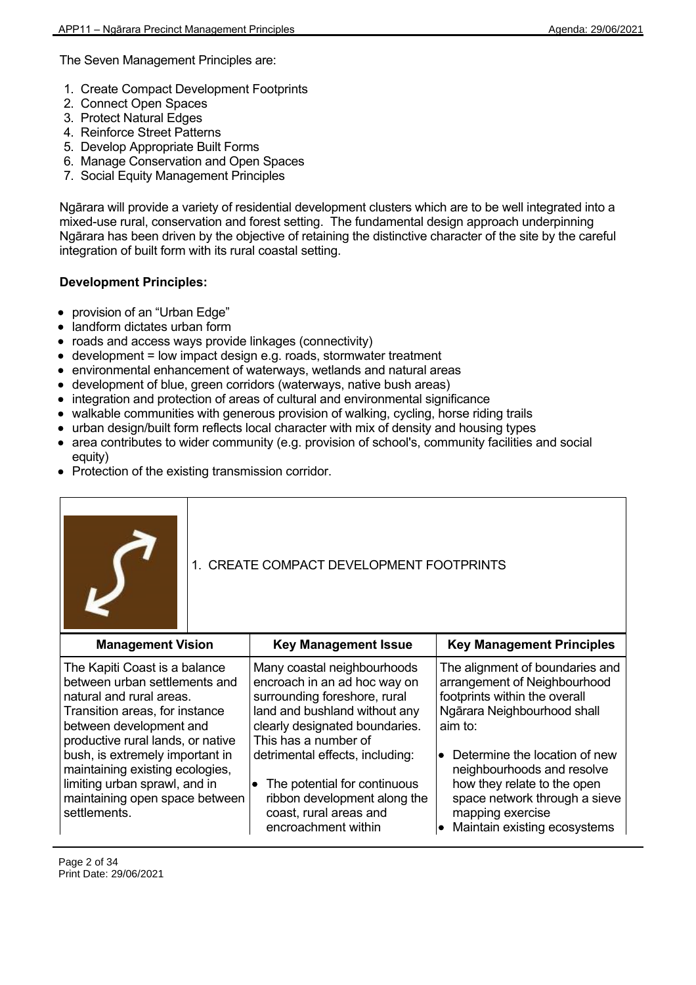The Seven Management Principles are:

- 1. Create Compact Development Footprints
- 2. Connect Open Spaces
- 3. Protect Natural Edges
- 4. Reinforce Street Patterns
- 5. Develop Appropriate Built Forms
- 6. Manage Conservation and Open Spaces
- 7. Social Equity Management Principles

Ngārara will provide a variety of residential development clusters which are to be well integrated into a mixed-use rural, conservation and forest setting. The fundamental design approach underpinning Ngārara has been driven by the objective of retaining the distinctive character of the site by the careful integration of built form with its rural coastal setting.

# **Development Principles:**

- provision of an "Urban Edge"
- landform dictates urban form
- roads and access ways provide linkages (connectivity)
- $\bullet$  development = low impact design e.g. roads, stormwater treatment
- environmental enhancement of waterways, wetlands and natural areas
- development of blue, green corridors (waterways, native bush areas)
- integration and protection of areas of cultural and environmental significance
- walkable communities with generous provision of walking, cycling, horse riding trails
- urban design/built form reflects local character with mix of density and housing types
- area contributes to wider community (e.g. provision of school's, community facilities and social equity)
- Protection of the existing transmission corridor.

| 1. CREATE COMPACT DEVELOPMENT FOOTPRINTS                                                                                                                                                     |  |                                                                                                                                                                                        |                                                                                                                                            |
|----------------------------------------------------------------------------------------------------------------------------------------------------------------------------------------------|--|----------------------------------------------------------------------------------------------------------------------------------------------------------------------------------------|--------------------------------------------------------------------------------------------------------------------------------------------|
| <b>Management Vision</b>                                                                                                                                                                     |  | <b>Key Management Issue</b>                                                                                                                                                            | <b>Key Management Principles</b>                                                                                                           |
| The Kapiti Coast is a balance<br>between urban settlements and<br>natural and rural areas.<br>Transition areas, for instance<br>between development and<br>productive rural lands, or native |  | Many coastal neighbourhoods<br>encroach in an ad hoc way on<br>surrounding foreshore, rural<br>land and bushland without any<br>clearly designated boundaries.<br>This has a number of | The alignment of boundaries and<br>arrangement of Neighbourhood<br>footprints within the overall<br>Ngārara Neighbourhood shall<br>aim to: |
| bush, is extremely important in<br>maintaining existing ecologies,<br>limiting urban sprawl, and in<br>maintaining open space between                                                        |  | detrimental effects, including:<br>The potential for continuous<br>$\bullet$<br>ribbon development along the                                                                           | Determine the location of new<br>neighbourhoods and resolve<br>how they relate to the open<br>space network through a sieve                |

coast, rural areas and encroachment within

mapping exercise

 $\bullet$  Maintain existing ecosystems

settlements.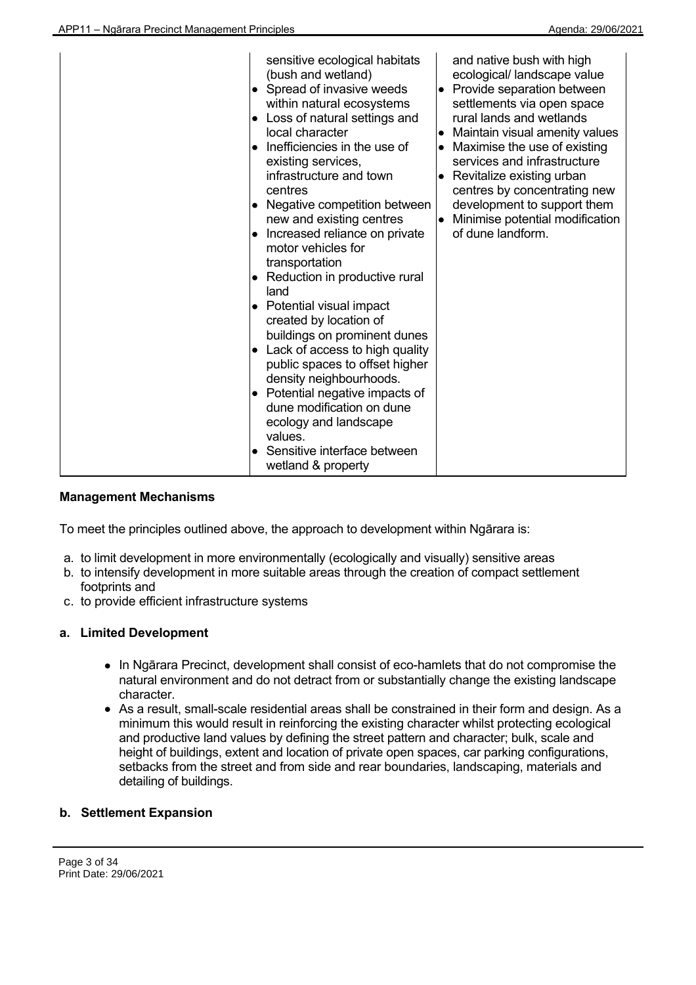| sensitive ecological habitats<br>(bush and wetland)<br>Spread of invasive weeds<br>$\bullet$<br>within natural ecosystems<br>Loss of natural settings and<br>$\bullet$<br>local character<br>Inefficiencies in the use of<br>$\bullet$<br>existing services,<br>infrastructure and town<br>centres<br>Negative competition between<br>$\bullet$<br>new and existing centres<br>Increased reliance on private<br>$\bullet$<br>motor vehicles for<br>transportation<br>Reduction in productive rural<br>$\bullet$<br>land<br>Potential visual impact<br>$\bullet$<br>created by location of<br>buildings on prominent dunes<br>Lack of access to high quality<br>$\bullet$<br>public spaces to offset higher<br>density neighbourhoods.<br>Potential negative impacts of<br>٠<br>dune modification on dune<br>ecology and landscape<br>values.<br>Sensitive interface between<br>٠<br>wetland & property | and native bush with high<br>ecological/ landscape value<br>• Provide separation between<br>settlements via open space<br>rural lands and wetlands<br>Maintain visual amenity values<br>$\bullet$<br>Maximise the use of existing<br>services and infrastructure<br>Revitalize existing urban<br>٠<br>centres by concentrating new<br>development to support them<br>Minimise potential modification<br>$\bullet$<br>of dune landform. |
|--------------------------------------------------------------------------------------------------------------------------------------------------------------------------------------------------------------------------------------------------------------------------------------------------------------------------------------------------------------------------------------------------------------------------------------------------------------------------------------------------------------------------------------------------------------------------------------------------------------------------------------------------------------------------------------------------------------------------------------------------------------------------------------------------------------------------------------------------------------------------------------------------------|----------------------------------------------------------------------------------------------------------------------------------------------------------------------------------------------------------------------------------------------------------------------------------------------------------------------------------------------------------------------------------------------------------------------------------------|
|--------------------------------------------------------------------------------------------------------------------------------------------------------------------------------------------------------------------------------------------------------------------------------------------------------------------------------------------------------------------------------------------------------------------------------------------------------------------------------------------------------------------------------------------------------------------------------------------------------------------------------------------------------------------------------------------------------------------------------------------------------------------------------------------------------------------------------------------------------------------------------------------------------|----------------------------------------------------------------------------------------------------------------------------------------------------------------------------------------------------------------------------------------------------------------------------------------------------------------------------------------------------------------------------------------------------------------------------------------|

To meet the principles outlined above, the approach to development within Ngārara is:

- a. to limit development in more environmentally (ecologically and visually) sensitive areas
- b. to intensify development in more suitable areas through the creation of compact settlement footprints and
- c. to provide efficient infrastructure systems

# **a. Limited Development**

- In Ngārara Precinct, development shall consist of eco-hamlets that do not compromise the natural environment and do not detract from or substantially change the existing landscape character.
- As a result, small-scale residential areas shall be constrained in their form and design. As a minimum this would result in reinforcing the existing character whilst protecting ecological and productive land values by defining the street pattern and character; bulk, scale and height of buildings, extent and location of private open spaces, car parking configurations, setbacks from the street and from side and rear boundaries, landscaping, materials and detailing of buildings.

# **b. Settlement Expansion**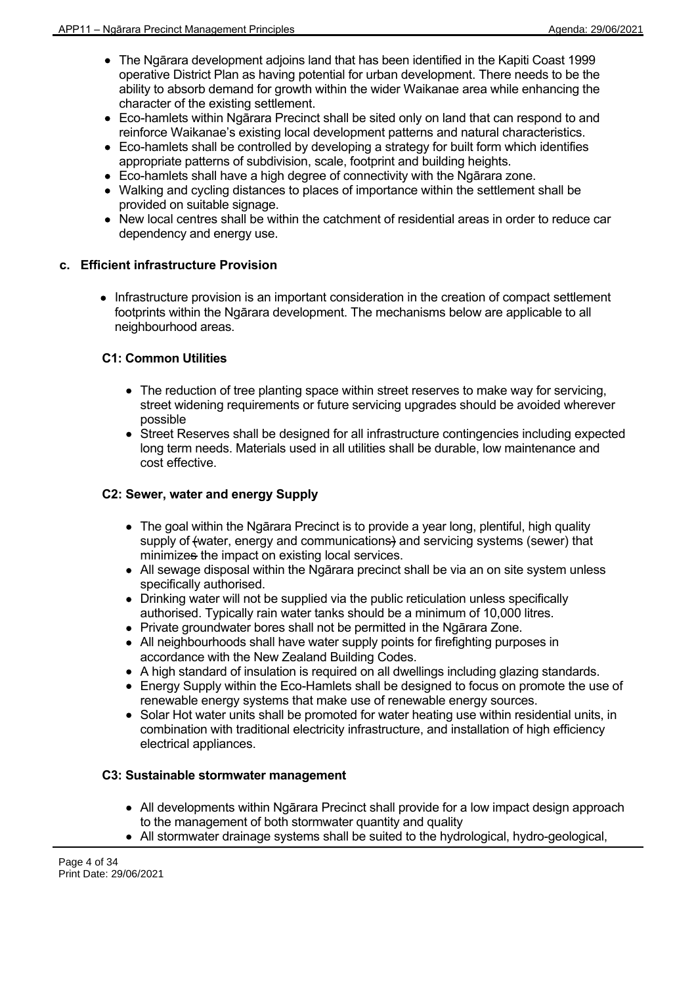- The Ngārara development adjoins land that has been identified in the Kapiti Coast 1999 operative District Plan as having potential for urban development. There needs to be the ability to absorb demand for growth within the wider Waikanae area while enhancing the character of the existing settlement.
- Eco-hamlets within Ngārara Precinct shall be sited only on land that can respond to and reinforce Waikanae's existing local development patterns and natural characteristics.
- Eco-hamlets shall be controlled by developing a strategy for built form which identifies appropriate patterns of subdivision, scale, footprint and building heights.
- Eco-hamlets shall have a high degree of connectivity with the Ngārara zone.
- Walking and cycling distances to places of importance within the settlement shall be provided on suitable signage.
- New local centres shall be within the catchment of residential areas in order to reduce car dependency and energy use.

# **c. Efficient infrastructure Provision**

• Infrastructure provision is an important consideration in the creation of compact settlement footprints within the Ngārara development. The mechanisms below are applicable to all neighbourhood areas.

# **C1: Common Utilities**

- The reduction of tree planting space within street reserves to make way for servicing, street widening requirements or future servicing upgrades should be avoided wherever possible
- Street Reserves shall be designed for all infrastructure contingencies including expected long term needs. Materials used in all utilities shall be durable, low maintenance and cost effective.

# **C2: Sewer, water and energy Supply**

- The goal within the Ngārara Precinct is to provide a year long, plentiful, high quality supply of (water, energy and communications) and servicing systems (sewer) that minimizes the impact on existing local services.
- All sewage disposal within the Ngārara precinct shall be via an on site system unless specifically authorised.
- Drinking water will not be supplied via the public reticulation unless specifically authorised. Typically rain water tanks should be a minimum of 10,000 litres.
- Private groundwater bores shall not be permitted in the Ngārara Zone.
- All neighbourhoods shall have water supply points for firefighting purposes in accordance with the New Zealand Building Codes.
- A high standard of insulation is required on all dwellings including glazing standards.
- Energy Supply within the Eco-Hamlets shall be designed to focus on promote the use of renewable energy systems that make use of renewable energy sources.
- Solar Hot water units shall be promoted for water heating use within residential units, in combination with traditional electricity infrastructure, and installation of high efficiency electrical appliances.

# **C3: Sustainable stormwater management**

- All developments within Ngārara Precinct shall provide for a low impact design approach to the management of both stormwater quantity and quality
- All stormwater drainage systems shall be suited to the hydrological, hydro-geological,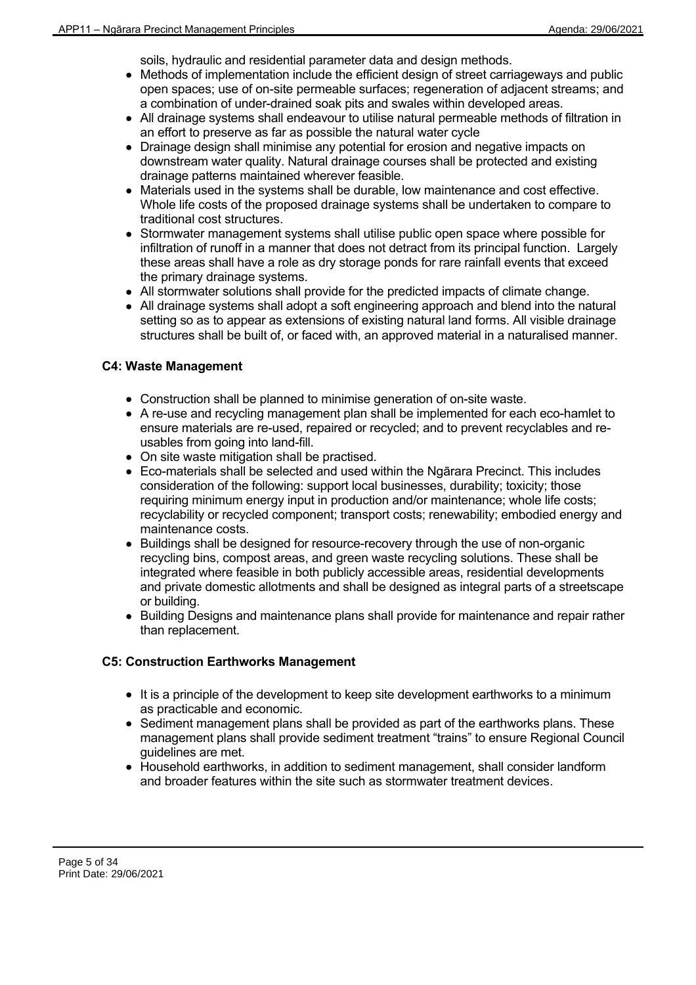soils, hydraulic and residential parameter data and design methods.

- Methods of implementation include the efficient design of street carriageways and public open spaces; use of on-site permeable surfaces; regeneration of adjacent streams; and a combination of under-drained soak pits and swales within developed areas.
- All drainage systems shall endeavour to utilise natural permeable methods of filtration in an effort to preserve as far as possible the natural water cycle
- Drainage design shall minimise any potential for erosion and negative impacts on downstream water quality. Natural drainage courses shall be protected and existing drainage patterns maintained wherever feasible.
- Materials used in the systems shall be durable, low maintenance and cost effective. Whole life costs of the proposed drainage systems shall be undertaken to compare to traditional cost structures.
- Stormwater management systems shall utilise public open space where possible for infiltration of runoff in a manner that does not detract from its principal function. Largely these areas shall have a role as dry storage ponds for rare rainfall events that exceed the primary drainage systems.
- All stormwater solutions shall provide for the predicted impacts of climate change.
- All drainage systems shall adopt a soft engineering approach and blend into the natural setting so as to appear as extensions of existing natural land forms. All visible drainage structures shall be built of, or faced with, an approved material in a naturalised manner.

# **C4: Waste Management**

- Construction shall be planned to minimise generation of on-site waste.
- A re-use and recycling management plan shall be implemented for each eco-hamlet to ensure materials are re-used, repaired or recycled; and to prevent recyclables and reusables from going into land-fill.
- On site waste mitigation shall be practised.
- Eco-materials shall be selected and used within the Ngārara Precinct. This includes consideration of the following: support local businesses, durability; toxicity; those requiring minimum energy input in production and/or maintenance; whole life costs; recyclability or recycled component; transport costs; renewability; embodied energy and maintenance costs.
- Buildings shall be designed for resource-recovery through the use of non-organic recycling bins, compost areas, and green waste recycling solutions. These shall be integrated where feasible in both publicly accessible areas, residential developments and private domestic allotments and shall be designed as integral parts of a streetscape or building.
- Building Designs and maintenance plans shall provide for maintenance and repair rather than replacement.

# **C5: Construction Earthworks Management**

- $\bullet$  It is a principle of the development to keep site development earthworks to a minimum as practicable and economic.
- Sediment management plans shall be provided as part of the earthworks plans. These management plans shall provide sediment treatment "trains" to ensure Regional Council guidelines are met.
- Household earthworks, in addition to sediment management, shall consider landform and broader features within the site such as stormwater treatment devices.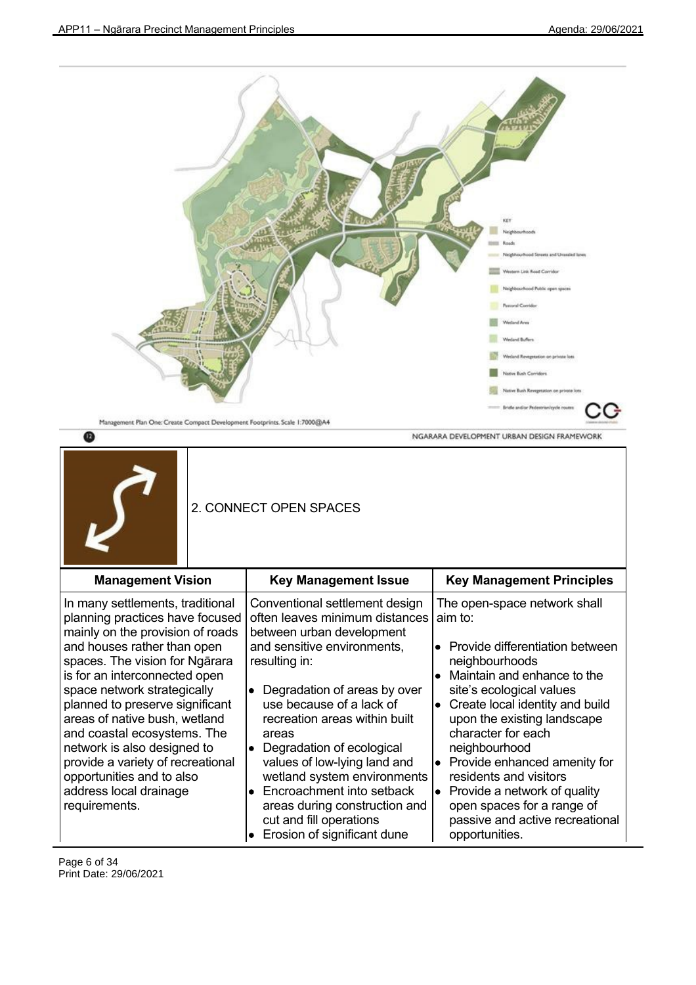

opportunities.

Page 6 of 34 Print Date: 29/06/2021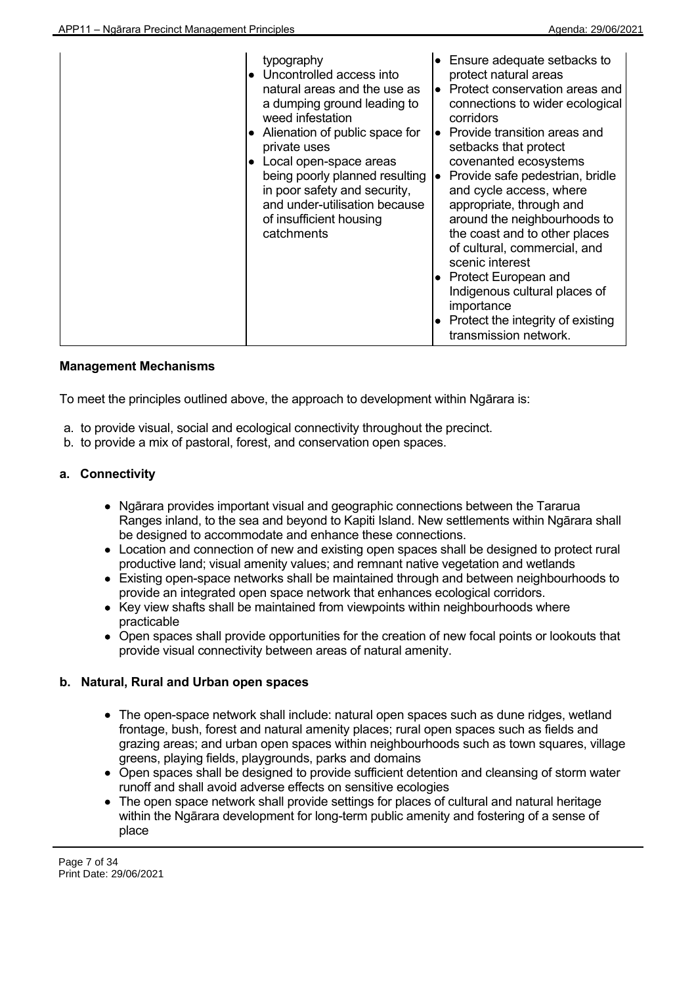| typography<br>• Uncontrolled access into<br>natural areas and the use as<br>a dumping ground leading to<br>weed infestation<br>Alienation of public space for<br>$\bullet$<br>private uses<br>Local open-space areas<br>$\bullet$<br>being poorly planned resulting<br>in poor safety and security,<br>and under-utilisation because<br>of insufficient housing<br>catchments | Ensure adequate setbacks to<br>protect natural areas<br>$\bullet$ Protect conservation areas and<br>connections to wider ecological<br>corridors<br>Provide transition areas and<br>lo i<br>setbacks that protect<br>covenanted ecosystems<br>Provide safe pedestrian, bridle<br>l.<br>and cycle access, where<br>appropriate, through and<br>around the neighbourhoods to<br>the coast and to other places<br>of cultural, commercial, and<br>scenic interest<br>• Protect European and<br>Indigenous cultural places of<br>importance<br>Protect the integrity of existing<br>transmission network. |
|-------------------------------------------------------------------------------------------------------------------------------------------------------------------------------------------------------------------------------------------------------------------------------------------------------------------------------------------------------------------------------|-------------------------------------------------------------------------------------------------------------------------------------------------------------------------------------------------------------------------------------------------------------------------------------------------------------------------------------------------------------------------------------------------------------------------------------------------------------------------------------------------------------------------------------------------------------------------------------------------------|
|-------------------------------------------------------------------------------------------------------------------------------------------------------------------------------------------------------------------------------------------------------------------------------------------------------------------------------------------------------------------------------|-------------------------------------------------------------------------------------------------------------------------------------------------------------------------------------------------------------------------------------------------------------------------------------------------------------------------------------------------------------------------------------------------------------------------------------------------------------------------------------------------------------------------------------------------------------------------------------------------------|

To meet the principles outlined above, the approach to development within Ngārara is:

- a. to provide visual, social and ecological connectivity throughout the precinct.
- b. to provide a mix of pastoral, forest, and conservation open spaces.

# **a. Connectivity**

- Ngārara provides important visual and geographic connections between the Tararua Ranges inland, to the sea and beyond to Kapiti Island. New settlements within Ngārara shall be designed to accommodate and enhance these connections.
- Location and connection of new and existing open spaces shall be designed to protect rural productive land; visual amenity values; and remnant native vegetation and wetlands
- Existing open-space networks shall be maintained through and between neighbourhoods to provide an integrated open space network that enhances ecological corridors.
- Key view shafts shall be maintained from viewpoints within neighbourhoods where practicable
- Open spaces shall provide opportunities for the creation of new focal points or lookouts that provide visual connectivity between areas of natural amenity.

# **b. Natural, Rural and Urban open spaces**

- The open-space network shall include: natural open spaces such as dune ridges, wetland frontage, bush, forest and natural amenity places; rural open spaces such as fields and grazing areas; and urban open spaces within neighbourhoods such as town squares, village greens, playing fields, playgrounds, parks and domains
- Open spaces shall be designed to provide sufficient detention and cleansing of storm water runoff and shall avoid adverse effects on sensitive ecologies
- The open space network shall provide settings for places of cultural and natural heritage within the Ngārara development for long-term public amenity and fostering of a sense of place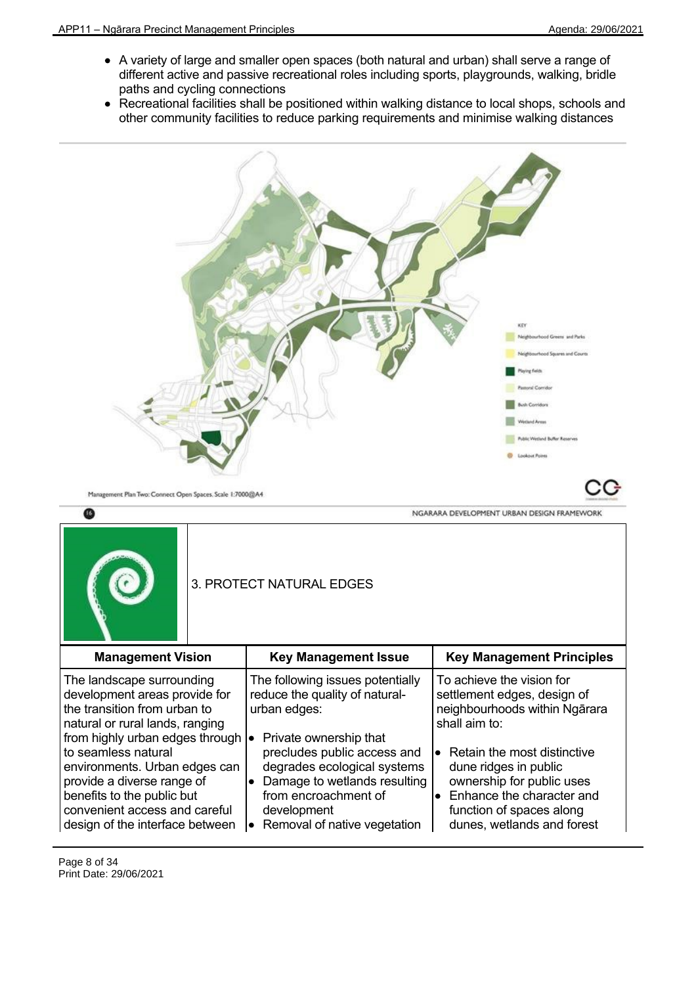- A variety of large and smaller open spaces (both natural and urban) shall serve a range of different active and passive recreational roles including sports, playgrounds, walking, bridle paths and cycling connections
- Recreational facilities shall be positioned within walking distance to local shops, schools and other community facilities to reduce parking requirements and minimise walking distances



|                                                                                                                                                                                                                            |  | 3. PROTECT NATURAL EDGES                                                                                                                                                       |                                                                                                                                                                              |
|----------------------------------------------------------------------------------------------------------------------------------------------------------------------------------------------------------------------------|--|--------------------------------------------------------------------------------------------------------------------------------------------------------------------------------|------------------------------------------------------------------------------------------------------------------------------------------------------------------------------|
| <b>Management Vision</b>                                                                                                                                                                                                   |  | <b>Key Management Issue</b>                                                                                                                                                    | <b>Key Management Principles</b>                                                                                                                                             |
| The landscape surrounding<br>development areas provide for<br>the transition from urban to<br>natural or rural lands, ranging                                                                                              |  | The following issues potentially<br>reduce the quality of natural-<br>urban edges:<br>Private ownership that                                                                   | To achieve the vision for<br>settlement edges, design of<br>neighbourhoods within Ngārara<br>shall aim to:                                                                   |
| from highly urban edges through  .<br>to seamless natural<br>environments. Urban edges can<br>provide a diverse range of<br>benefits to the public but<br>convenient access and careful<br>design of the interface between |  | precludes public access and<br>degrades ecological systems<br>Damage to wetlands resulting<br>from encroachment of<br>development<br>Removal of native vegetation<br>$\bullet$ | • Retain the most distinctive<br>dune ridges in public<br>ownership for public uses<br>• Enhance the character and<br>function of spaces along<br>dunes, wetlands and forest |

Page 8 of 34 Print Date: 29/06/2021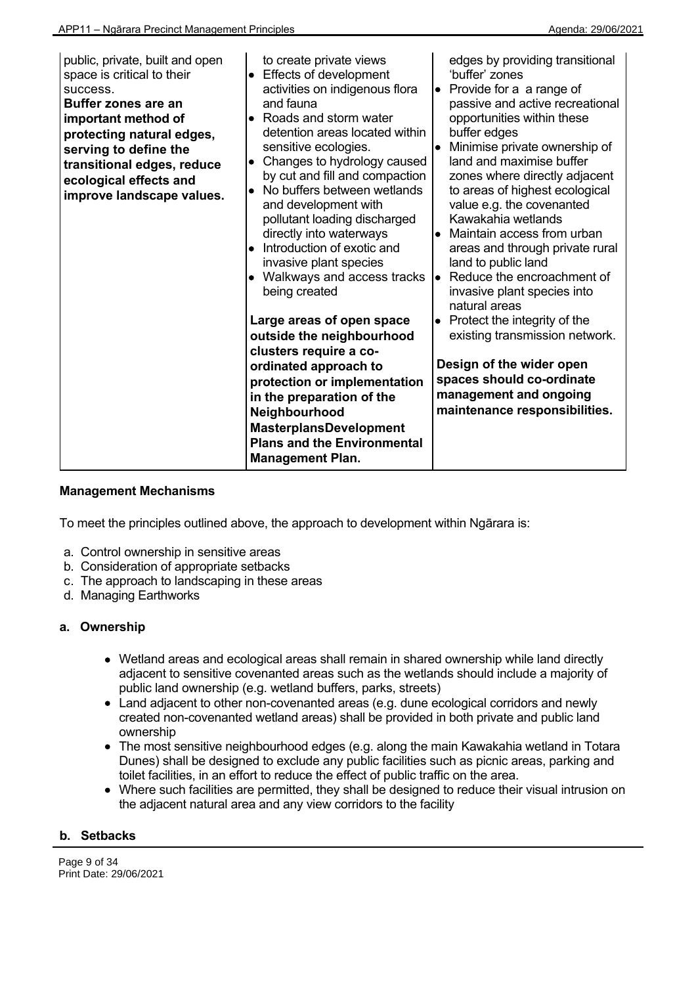| public, private, built and open<br>space is critical to their<br>success.<br><b>Buffer zones are an</b><br>important method of<br>protecting natural edges,<br>serving to define the<br>transitional edges, reduce<br>ecological effects and<br>improve landscape values. | to create private views<br><b>Effects of development</b><br>activities on indigenous flora<br>and fauna<br>Roads and storm water<br>$\bullet$<br>detention areas located within<br>sensitive ecologies.<br>Changes to hydrology caused<br>$\bullet$<br>by cut and fill and compaction<br>No buffers between wetlands<br>and development with<br>pollutant loading discharged<br>directly into waterways<br>Introduction of exotic and<br>$\bullet$<br>invasive plant species<br>Walkways and access tracks<br>$\bullet$<br>being created | edges by providing transitional<br>'buffer' zones<br>Provide for a a range of<br>$\bullet$<br>passive and active recreational<br>opportunities within these<br>buffer edges<br>Minimise private ownership of<br>$\bullet$<br>land and maximise buffer<br>zones where directly adjacent<br>to areas of highest ecological<br>value e.g. the covenanted<br>Kawakahia wetlands<br>Maintain access from urban<br>$\bullet$<br>areas and through private rural<br>land to public land<br>Reduce the encroachment of<br>le.<br>invasive plant species into<br>natural areas |
|---------------------------------------------------------------------------------------------------------------------------------------------------------------------------------------------------------------------------------------------------------------------------|------------------------------------------------------------------------------------------------------------------------------------------------------------------------------------------------------------------------------------------------------------------------------------------------------------------------------------------------------------------------------------------------------------------------------------------------------------------------------------------------------------------------------------------|-----------------------------------------------------------------------------------------------------------------------------------------------------------------------------------------------------------------------------------------------------------------------------------------------------------------------------------------------------------------------------------------------------------------------------------------------------------------------------------------------------------------------------------------------------------------------|
|                                                                                                                                                                                                                                                                           | Large areas of open space<br>outside the neighbourhood<br>clusters require a co-<br>ordinated approach to<br>protection or implementation<br>in the preparation of the<br>Neighbourhood<br><b>MasterplansDevelopment</b><br><b>Plans and the Environmental</b><br><b>Management Plan.</b>                                                                                                                                                                                                                                                | Protect the integrity of the<br>$\bullet$<br>existing transmission network.<br>Design of the wider open<br>spaces should co-ordinate<br>management and ongoing<br>maintenance responsibilities.                                                                                                                                                                                                                                                                                                                                                                       |

To meet the principles outlined above, the approach to development within Ngārara is:

- a. Control ownership in sensitive areas
- b. Consideration of appropriate setbacks
- c. The approach to landscaping in these areas
- d. Managing Earthworks

#### **a. Ownership**

- Wetland areas and ecological areas shall remain in shared ownership while land directly adjacent to sensitive covenanted areas such as the wetlands should include a majority of public land ownership (e.g. wetland buffers, parks, streets)
- Land adjacent to other non-covenanted areas (e.g. dune ecological corridors and newly created non-covenanted wetland areas) shall be provided in both private and public land ownership
- The most sensitive neighbourhood edges (e.g. along the main Kawakahia wetland in Totara Dunes) shall be designed to exclude any public facilities such as picnic areas, parking and toilet facilities, in an effort to reduce the effect of public traffic on the area.
- Where such facilities are permitted, they shall be designed to reduce their visual intrusion on the adjacent natural area and any view corridors to the facility

#### **b. Setbacks**

Page 9 of 34 Print Date: 29/06/2021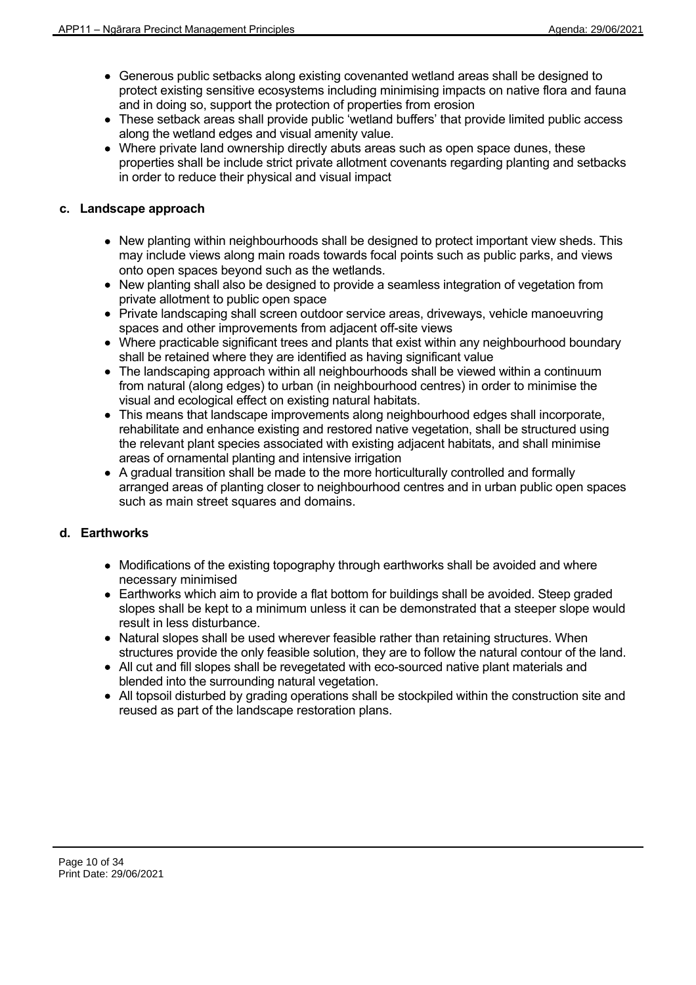- Generous public setbacks along existing covenanted wetland areas shall be designed to protect existing sensitive ecosystems including minimising impacts on native flora and fauna and in doing so, support the protection of properties from erosion
- These setback areas shall provide public 'wetland buffers' that provide limited public access along the wetland edges and visual amenity value.
- Where private land ownership directly abuts areas such as open space dunes, these properties shall be include strict private allotment covenants regarding planting and setbacks in order to reduce their physical and visual impact

# **c. Landscape approach**

- New planting within neighbourhoods shall be designed to protect important view sheds. This may include views along main roads towards focal points such as public parks, and views onto open spaces beyond such as the wetlands.
- New planting shall also be designed to provide a seamless integration of vegetation from private allotment to public open space
- Private landscaping shall screen outdoor service areas, driveways, vehicle manoeuvring spaces and other improvements from adjacent off-site views
- Where practicable significant trees and plants that exist within any neighbourhood boundary shall be retained where they are identified as having significant value
- The landscaping approach within all neighbourhoods shall be viewed within a continuum from natural (along edges) to urban (in neighbourhood centres) in order to minimise the visual and ecological effect on existing natural habitats.
- This means that landscape improvements along neighbourhood edges shall incorporate, rehabilitate and enhance existing and restored native vegetation, shall be structured using the relevant plant species associated with existing adjacent habitats, and shall minimise areas of ornamental planting and intensive irrigation
- A gradual transition shall be made to the more horticulturally controlled and formally arranged areas of planting closer to neighbourhood centres and in urban public open spaces such as main street squares and domains.

# **d. Earthworks**

- Modifications of the existing topography through earthworks shall be avoided and where necessary minimised
- Earthworks which aim to provide a flat bottom for buildings shall be avoided. Steep graded slopes shall be kept to a minimum unless it can be demonstrated that a steeper slope would result in less disturbance.
- Natural slopes shall be used wherever feasible rather than retaining structures. When structures provide the only feasible solution, they are to follow the natural contour of the land.
- All cut and fill slopes shall be revegetated with eco-sourced native plant materials and blended into the surrounding natural vegetation.
- All topsoil disturbed by grading operations shall be stockpiled within the construction site and reused as part of the landscape restoration plans.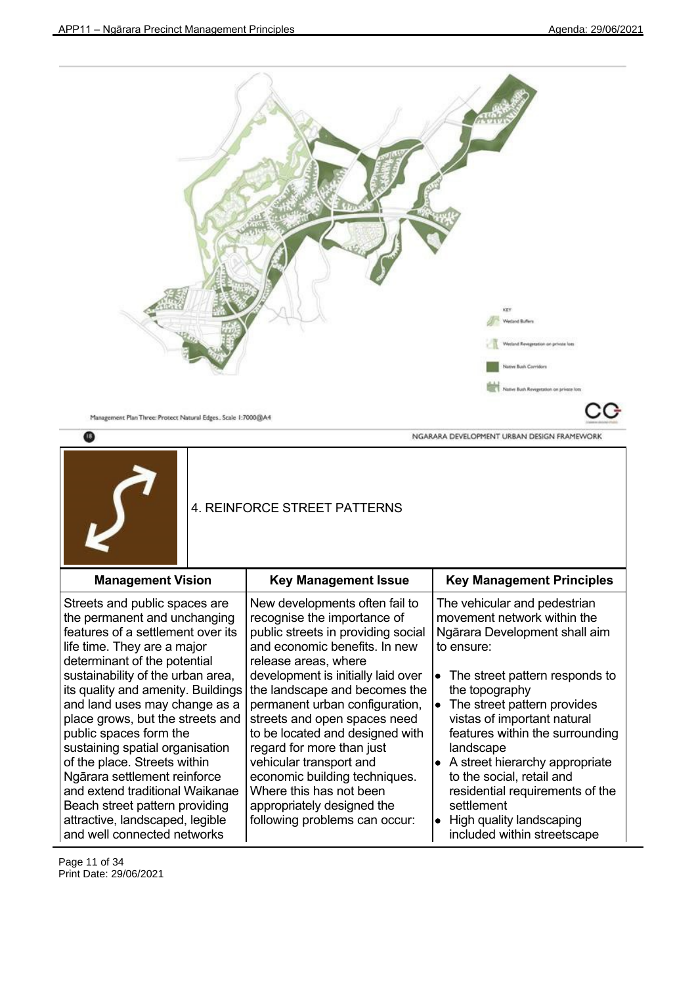included within streetscape



and well connected networks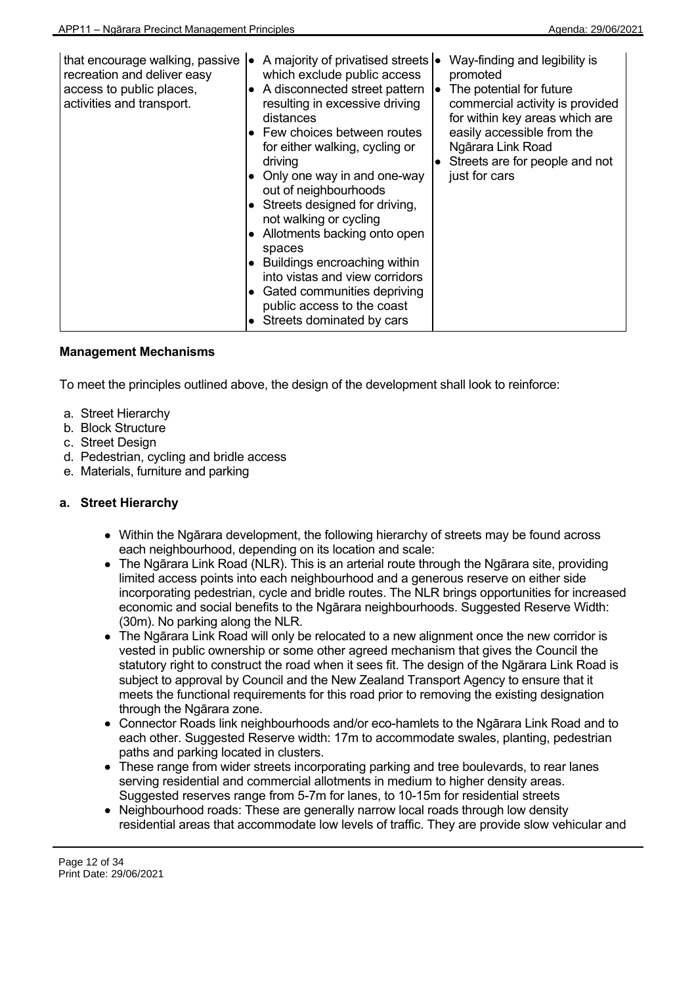| that encourage walking, passive<br>recreation and deliver easy<br>access to public places,<br>activities and transport. | A majority of privatised streets  •<br>٠<br>which exclude public access<br>A disconnected street pattern<br>resulting in excessive driving<br>distances<br>• Few choices between routes<br>for either walking, cycling or<br>driving<br>Only one way in and one-way<br>out of neighbourhoods<br>• Streets designed for driving,<br>not walking or cycling<br>Allotments backing onto open<br>$\bullet$<br>spaces<br>• Buildings encroaching within<br>into vistas and view corridors<br>• Gated communities depriving<br>public access to the coast | Way-finding and legibility is<br>promoted<br>The potential for future<br>commercial activity is provided<br>for within key areas which are<br>easily accessible from the<br>Ngārara Link Road<br>$\bullet$ Streets are for people and not<br>just for cars |
|-------------------------------------------------------------------------------------------------------------------------|-----------------------------------------------------------------------------------------------------------------------------------------------------------------------------------------------------------------------------------------------------------------------------------------------------------------------------------------------------------------------------------------------------------------------------------------------------------------------------------------------------------------------------------------------------|------------------------------------------------------------------------------------------------------------------------------------------------------------------------------------------------------------------------------------------------------------|
|                                                                                                                         | Streets dominated by cars                                                                                                                                                                                                                                                                                                                                                                                                                                                                                                                           |                                                                                                                                                                                                                                                            |

To meet the principles outlined above, the design of the development shall look to reinforce:

- a. Street Hierarchy
- b. Block Structure
- c. Street Design
- d. Pedestrian, cycling and bridle access
- e. Materials, furniture and parking

# **a. Street Hierarchy**

- Within the Ngārara development, the following hierarchy of streets may be found across each neighbourhood, depending on its location and scale:
- The Ngārara Link Road (NLR). This is an arterial route through the Ngārara site, providing limited access points into each neighbourhood and a generous reserve on either side incorporating pedestrian, cycle and bridle routes. The NLR brings opportunities for increased economic and social benefits to the Ngārara neighbourhoods. Suggested Reserve Width: (30m). No parking along the NLR.
- The Ngārara Link Road will only be relocated to a new alignment once the new corridor is vested in public ownership or some other agreed mechanism that gives the Council the statutory right to construct the road when it sees fit. The design of the Ngārara Link Road is subject to approval by Council and the New Zealand Transport Agency to ensure that it meets the functional requirements for this road prior to removing the existing designation through the Ngārara zone.
- Connector Roads link neighbourhoods and/or eco-hamlets to the Ngārara Link Road and to each other. Suggested Reserve width: 17m to accommodate swales, planting, pedestrian paths and parking located in clusters.
- These range from wider streets incorporating parking and tree boulevards, to rear lanes serving residential and commercial allotments in medium to higher density areas. Suggested reserves range from 5-7m for lanes, to 10-15m for residential streets
- Neighbourhood roads: These are generally narrow local roads through low density residential areas that accommodate low levels of traffic. They are provide slow vehicular and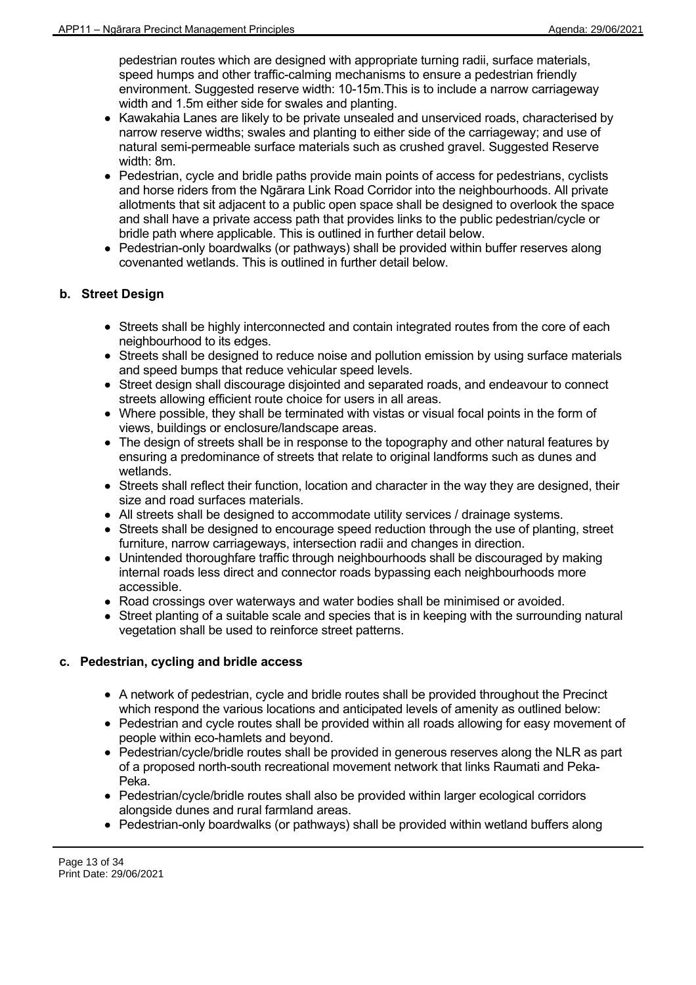pedestrian routes which are designed with appropriate turning radii, surface materials, speed humps and other traffic-calming mechanisms to ensure a pedestrian friendly environment. Suggested reserve width: 10-15m.This is to include a narrow carriageway width and 1.5m either side for swales and planting.

- Kawakahia Lanes are likely to be private unsealed and unserviced roads, characterised by narrow reserve widths; swales and planting to either side of the carriageway; and use of natural semi-permeable surface materials such as crushed gravel. Suggested Reserve width: 8m.
- Pedestrian, cycle and bridle paths provide main points of access for pedestrians, cyclists and horse riders from the Ngārara Link Road Corridor into the neighbourhoods. All private allotments that sit adjacent to a public open space shall be designed to overlook the space and shall have a private access path that provides links to the public pedestrian/cycle or bridle path where applicable. This is outlined in further detail below.
- Pedestrian-only boardwalks (or pathways) shall be provided within buffer reserves along covenanted wetlands. This is outlined in further detail below.

# **b. Street Design**

- Streets shall be highly interconnected and contain integrated routes from the core of each neighbourhood to its edges.
- Streets shall be designed to reduce noise and pollution emission by using surface materials and speed bumps that reduce vehicular speed levels.
- Street design shall discourage disjointed and separated roads, and endeavour to connect streets allowing efficient route choice for users in all areas.
- Where possible, they shall be terminated with vistas or visual focal points in the form of views, buildings or enclosure/landscape areas.
- The design of streets shall be in response to the topography and other natural features by ensuring a predominance of streets that relate to original landforms such as dunes and wetlands.
- Streets shall reflect their function, location and character in the way they are designed, their size and road surfaces materials.
- All streets shall be designed to accommodate utility services / drainage systems.
- Streets shall be designed to encourage speed reduction through the use of planting, street furniture, narrow carriageways, intersection radii and changes in direction.
- Unintended thoroughfare traffic through neighbourhoods shall be discouraged by making internal roads less direct and connector roads bypassing each neighbourhoods more accessible.
- Road crossings over waterways and water bodies shall be minimised or avoided.
- Street planting of a suitable scale and species that is in keeping with the surrounding natural vegetation shall be used to reinforce street patterns.

# **c. Pedestrian, cycling and bridle access**

- A network of pedestrian, cycle and bridle routes shall be provided throughout the Precinct which respond the various locations and anticipated levels of amenity as outlined below:
- Pedestrian and cycle routes shall be provided within all roads allowing for easy movement of people within eco-hamlets and beyond.
- Pedestrian/cycle/bridle routes shall be provided in generous reserves along the NLR as part of a proposed north-south recreational movement network that links Raumati and Peka-Peka.
- Pedestrian/cycle/bridle routes shall also be provided within larger ecological corridors alongside dunes and rural farmland areas.
- Pedestrian-only boardwalks (or pathways) shall be provided within wetland buffers along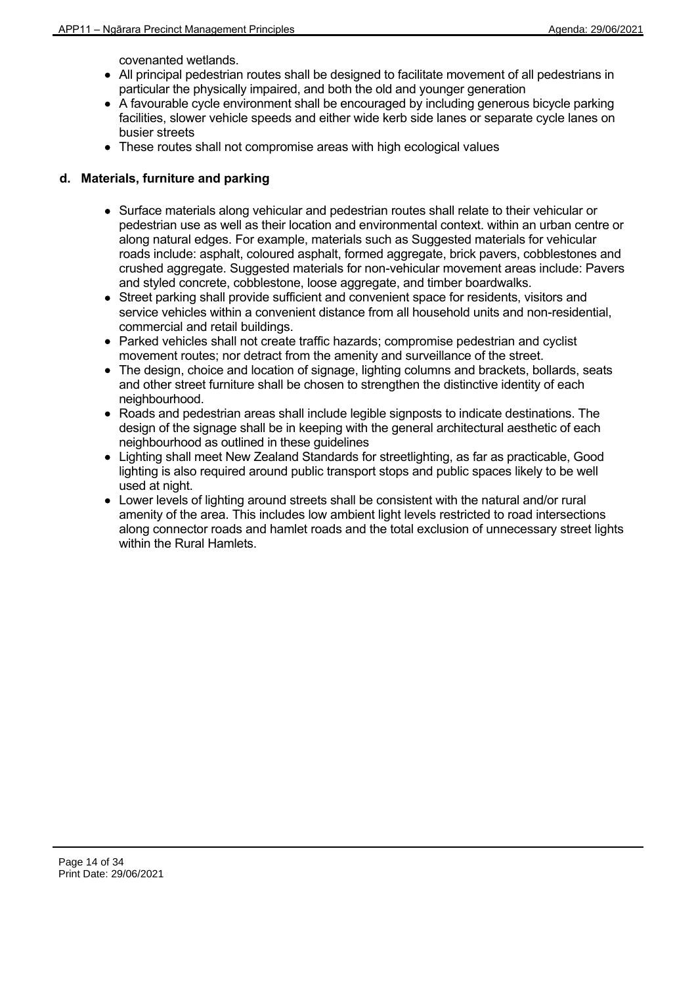covenanted wetlands.

- All principal pedestrian routes shall be designed to facilitate movement of all pedestrians in particular the physically impaired, and both the old and younger generation
- A favourable cycle environment shall be encouraged by including generous bicycle parking facilities, slower vehicle speeds and either wide kerb side lanes or separate cycle lanes on busier streets
- These routes shall not compromise areas with high ecological values

# **d. Materials, furniture and parking**

- Surface materials along vehicular and pedestrian routes shall relate to their vehicular or pedestrian use as well as their location and environmental context. within an urban centre or along natural edges. For example, materials such as Suggested materials for vehicular roads include: asphalt, coloured asphalt, formed aggregate, brick pavers, cobblestones and crushed aggregate. Suggested materials for non-vehicular movement areas include: Pavers and styled concrete, cobblestone, loose aggregate, and timber boardwalks.
- Street parking shall provide sufficient and convenient space for residents, visitors and service vehicles within a convenient distance from all household units and non-residential, commercial and retail buildings.
- Parked vehicles shall not create traffic hazards; compromise pedestrian and cyclist movement routes; nor detract from the amenity and surveillance of the street.
- The design, choice and location of signage, lighting columns and brackets, bollards, seats and other street furniture shall be chosen to strengthen the distinctive identity of each neighbourhood.
- Roads and pedestrian areas shall include legible signposts to indicate destinations. The design of the signage shall be in keeping with the general architectural aesthetic of each neighbourhood as outlined in these guidelines
- Lighting shall meet New Zealand Standards for streetlighting, as far as practicable, Good lighting is also required around public transport stops and public spaces likely to be well used at night.
- Lower levels of lighting around streets shall be consistent with the natural and/or rural amenity of the area. This includes low ambient light levels restricted to road intersections along connector roads and hamlet roads and the total exclusion of unnecessary street lights within the Rural Hamlets.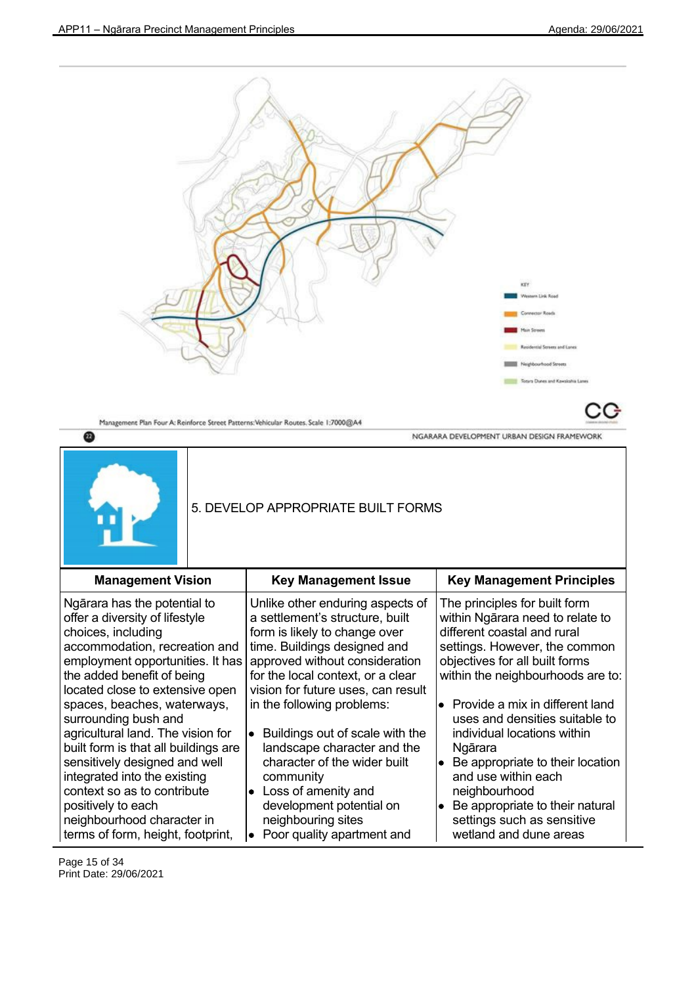|                                                                                                                                                                                                                                                           | Management Plan Four A: Reinforce Street Patterns: Vehicular Routes. Scale 1:7000@A4                                                                                                                                                                                            | KEY<br>Western Link Road<br>Connector Roads<br><b>fair Street</b><br>Rasidential Streets and Lanes<br>Neighbourhood Streets<br>Totara Dunes and Kawakahia Lanes                                                                               |
|-----------------------------------------------------------------------------------------------------------------------------------------------------------------------------------------------------------------------------------------------------------|---------------------------------------------------------------------------------------------------------------------------------------------------------------------------------------------------------------------------------------------------------------------------------|-----------------------------------------------------------------------------------------------------------------------------------------------------------------------------------------------------------------------------------------------|
| ⋒                                                                                                                                                                                                                                                         |                                                                                                                                                                                                                                                                                 | NGARARA DEVELOPMENT URBAN DESIGN FRAMEWORK                                                                                                                                                                                                    |
|                                                                                                                                                                                                                                                           | 5. DEVELOP APPROPRIATE BUILT FORMS                                                                                                                                                                                                                                              |                                                                                                                                                                                                                                               |
| <b>Management Vision</b>                                                                                                                                                                                                                                  | <b>Key Management Issue</b>                                                                                                                                                                                                                                                     | <b>Key Management Principles</b>                                                                                                                                                                                                              |
| Ngārara has the potential to<br>offer a diversity of lifestyle<br>choices, including<br>accommodation, recreation and<br>employment opportunities. It has<br>the added benefit of being<br>located close to extensive open<br>spaces, beaches, waterways, | Unlike other enduring aspects of<br>a settlement's structure, built<br>form is likely to change over<br>time. Buildings designed and<br>approved without consideration<br>for the local context, or a clear<br>vision for future uses, can result<br>in the following problems: | The principles for built form<br>within Ngārara need to relate to<br>different coastal and rural<br>settings. However, the common<br>objectives for all built forms<br>within the neighbourhoods are to:<br>• Provide a mix in different land |

Page 15 of 34 Print Date: 29/06/2021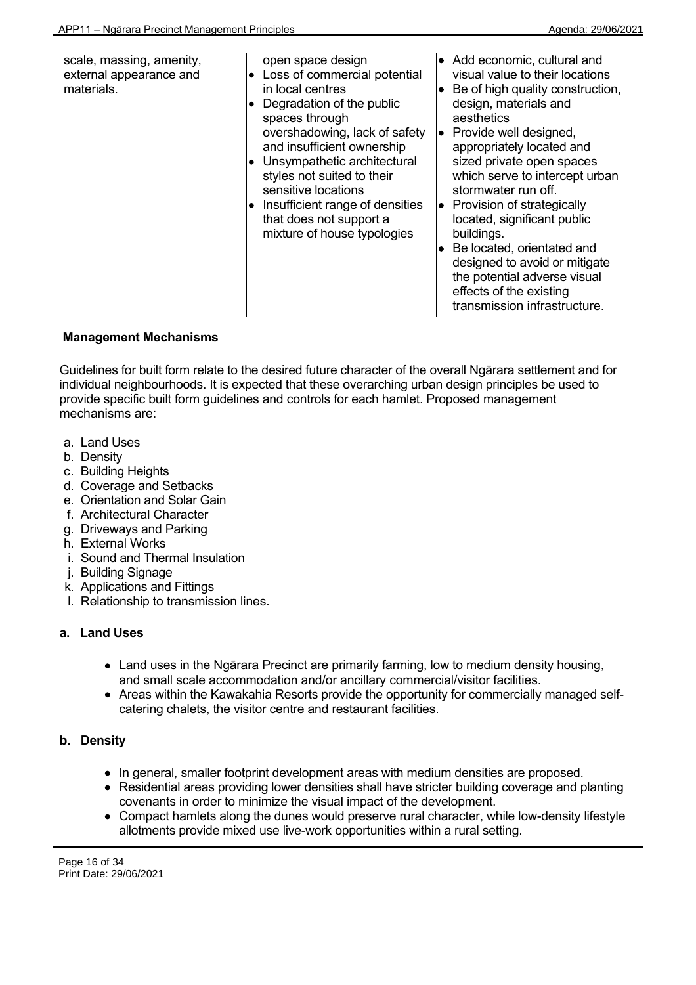| scale, massing, amenity,<br>open space design<br>external appearance and<br>Loss of commercial potential<br>materials.<br>in local centres<br>Degradation of the public<br>spaces through<br>overshadowing, lack of safety<br>and insufficient ownership<br>$\bullet$ Unsympathetic architectural<br>styles not suited to their<br>sensitive locations<br>Insufficient range of densities<br>that does not support a<br>mixture of house typologies | visual value to their locations<br>Be of high quality construction,<br>$\bullet$<br>design, materials and<br>aesthetics<br>Provide well designed,<br>le<br>appropriately located and<br>sized private open spaces<br>which serve to intercept urban<br>stormwater run off.<br>$\bullet$ Provision of strategically<br>located, significant public<br>buildings.<br>Be located, orientated and<br>designed to avoid or mitigate<br>the potential adverse visual<br>effects of the existing<br>transmission infrastructure. |
|-----------------------------------------------------------------------------------------------------------------------------------------------------------------------------------------------------------------------------------------------------------------------------------------------------------------------------------------------------------------------------------------------------------------------------------------------------|---------------------------------------------------------------------------------------------------------------------------------------------------------------------------------------------------------------------------------------------------------------------------------------------------------------------------------------------------------------------------------------------------------------------------------------------------------------------------------------------------------------------------|
|-----------------------------------------------------------------------------------------------------------------------------------------------------------------------------------------------------------------------------------------------------------------------------------------------------------------------------------------------------------------------------------------------------------------------------------------------------|---------------------------------------------------------------------------------------------------------------------------------------------------------------------------------------------------------------------------------------------------------------------------------------------------------------------------------------------------------------------------------------------------------------------------------------------------------------------------------------------------------------------------|

Guidelines for built form relate to the desired future character of the overall Ngārara settlement and for individual neighbourhoods. It is expected that these overarching urban design principles be used to provide specific built form guidelines and controls for each hamlet. Proposed management mechanisms are:

- a. Land Uses
- b. Density
- c. Building Heights
- d. Coverage and Setbacks
- e. Orientation and Solar Gain
- f. Architectural Character
- g. Driveways and Parking
- h. External Works
- i. Sound and Thermal Insulation
- j. Building Signage
- k. Applications and Fittings
- l. Relationship to transmission lines.

# **a. Land Uses**

- Land uses in the Ngārara Precinct are primarily farming, low to medium density housing, and small scale accommodation and/or ancillary commercial/visitor facilities.
- Areas within the Kawakahia Resorts provide the opportunity for commercially managed selfcatering chalets, the visitor centre and restaurant facilities.

# **b. Density**

- In general, smaller footprint development areas with medium densities are proposed.
- Residential areas providing lower densities shall have stricter building coverage and planting covenants in order to minimize the visual impact of the development.
- Compact hamlets along the dunes would preserve rural character, while low-density lifestyle allotments provide mixed use live-work opportunities within a rural setting.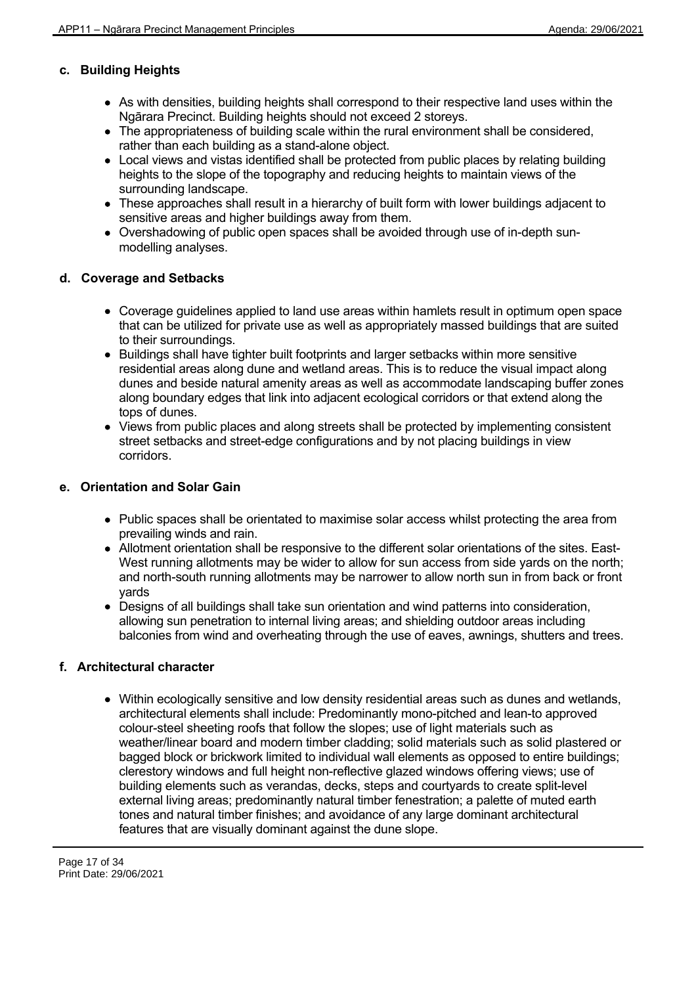# **c. Building Heights**

- As with densities, building heights shall correspond to their respective land uses within the Ngārara Precinct. Building heights should not exceed 2 storeys.
- The appropriateness of building scale within the rural environment shall be considered, rather than each building as a stand-alone object.
- Local views and vistas identified shall be protected from public places by relating building heights to the slope of the topography and reducing heights to maintain views of the surrounding landscape.
- These approaches shall result in a hierarchy of built form with lower buildings adjacent to sensitive areas and higher buildings away from them.
- Overshadowing of public open spaces shall be avoided through use of in-depth sunmodelling analyses.

# **d. Coverage and Setbacks**

- Coverage guidelines applied to land use areas within hamlets result in optimum open space that can be utilized for private use as well as appropriately massed buildings that are suited to their surroundings.
- Buildings shall have tighter built footprints and larger setbacks within more sensitive residential areas along dune and wetland areas. This is to reduce the visual impact along dunes and beside natural amenity areas as well as accommodate landscaping buffer zones along boundary edges that link into adjacent ecological corridors or that extend along the tops of dunes.
- Views from public places and along streets shall be protected by implementing consistent street setbacks and street-edge configurations and by not placing buildings in view corridors.

# **e. Orientation and Solar Gain**

- Public spaces shall be orientated to maximise solar access whilst protecting the area from prevailing winds and rain.
- Allotment orientation shall be responsive to the different solar orientations of the sites. East-West running allotments may be wider to allow for sun access from side yards on the north; and north-south running allotments may be narrower to allow north sun in from back or front yards
- Designs of all buildings shall take sun orientation and wind patterns into consideration, allowing sun penetration to internal living areas; and shielding outdoor areas including balconies from wind and overheating through the use of eaves, awnings, shutters and trees.

# **f. Architectural character**

Within ecologically sensitive and low density residential areas such as dunes and wetlands, architectural elements shall include: Predominantly mono-pitched and lean-to approved colour-steel sheeting roofs that follow the slopes; use of light materials such as weather/linear board and modern timber cladding; solid materials such as solid plastered or bagged block or brickwork limited to individual wall elements as opposed to entire buildings; clerestory windows and full height non-reflective glazed windows offering views; use of building elements such as verandas, decks, steps and courtyards to create split-level external living areas; predominantly natural timber fenestration; a palette of muted earth tones and natural timber finishes; and avoidance of any large dominant architectural features that are visually dominant against the dune slope.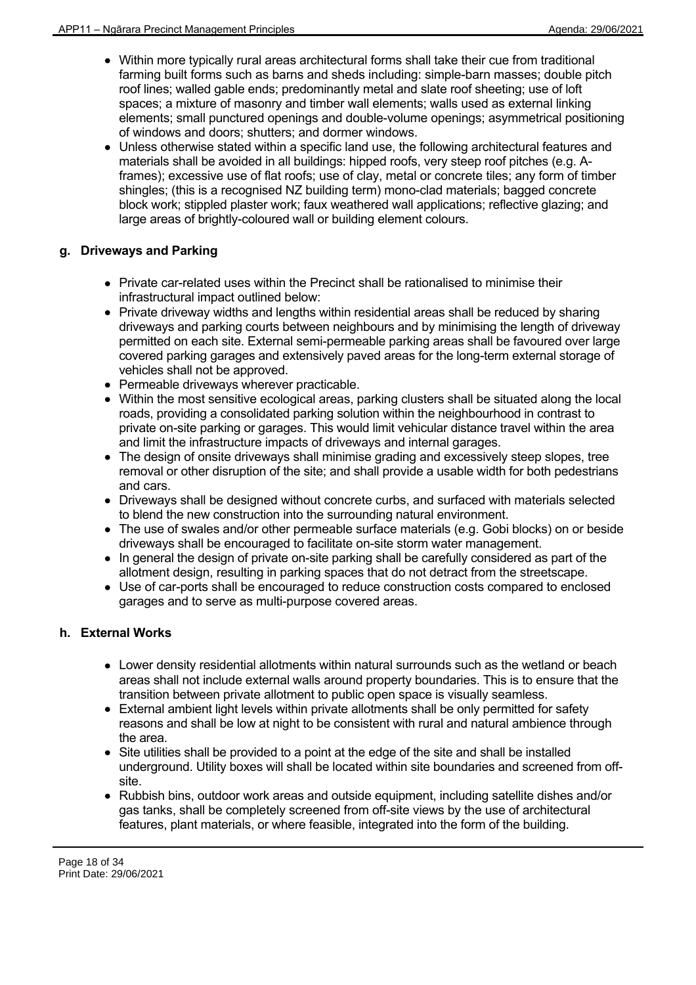- Within more typically rural areas architectural forms shall take their cue from traditional farming built forms such as barns and sheds including: simple-barn masses; double pitch roof lines; walled gable ends; predominantly metal and slate roof sheeting; use of loft spaces; a mixture of masonry and timber wall elements; walls used as external linking elements; small punctured openings and double-volume openings; asymmetrical positioning of windows and doors; shutters; and dormer windows.
- Unless otherwise stated within a specific land use, the following architectural features and materials shall be avoided in all buildings: hipped roofs, very steep roof pitches (e.g. Aframes); excessive use of flat roofs; use of clay, metal or concrete tiles; any form of timber shingles; (this is a recognised NZ building term) mono-clad materials; bagged concrete block work; stippled plaster work; faux weathered wall applications; reflective glazing; and large areas of brightly-coloured wall or building element colours.

# **g. Driveways and Parking**

- Private car-related uses within the Precinct shall be rationalised to minimise their infrastructural impact outlined below:
- Private driveway widths and lengths within residential areas shall be reduced by sharing driveways and parking courts between neighbours and by minimising the length of driveway permitted on each site. External semi-permeable parking areas shall be favoured over large covered parking garages and extensively paved areas for the long-term external storage of vehicles shall not be approved.
- Permeable driveways wherever practicable.
- Within the most sensitive ecological areas, parking clusters shall be situated along the local roads, providing a consolidated parking solution within the neighbourhood in contrast to private on-site parking or garages. This would limit vehicular distance travel within the area and limit the infrastructure impacts of driveways and internal garages.
- The design of onsite driveways shall minimise grading and excessively steep slopes, tree removal or other disruption of the site; and shall provide a usable width for both pedestrians and cars.
- Driveways shall be designed without concrete curbs, and surfaced with materials selected to blend the new construction into the surrounding natural environment.
- The use of swales and/or other permeable surface materials (e.g. Gobi blocks) on or beside driveways shall be encouraged to facilitate on-site storm water management.
- $\bullet$  In general the design of private on-site parking shall be carefully considered as part of the allotment design, resulting in parking spaces that do not detract from the streetscape.
- Use of car-ports shall be encouraged to reduce construction costs compared to enclosed garages and to serve as multi-purpose covered areas.

# **h. External Works**

- Lower density residential allotments within natural surrounds such as the wetland or beach areas shall not include external walls around property boundaries. This is to ensure that the transition between private allotment to public open space is visually seamless.
- External ambient light levels within private allotments shall be only permitted for safety reasons and shall be low at night to be consistent with rural and natural ambience through the area.
- Site utilities shall be provided to a point at the edge of the site and shall be installed underground. Utility boxes will shall be located within site boundaries and screened from offsite.
- Rubbish bins, outdoor work areas and outside equipment, including satellite dishes and/or gas tanks, shall be completely screened from off-site views by the use of architectural features, plant materials, or where feasible, integrated into the form of the building.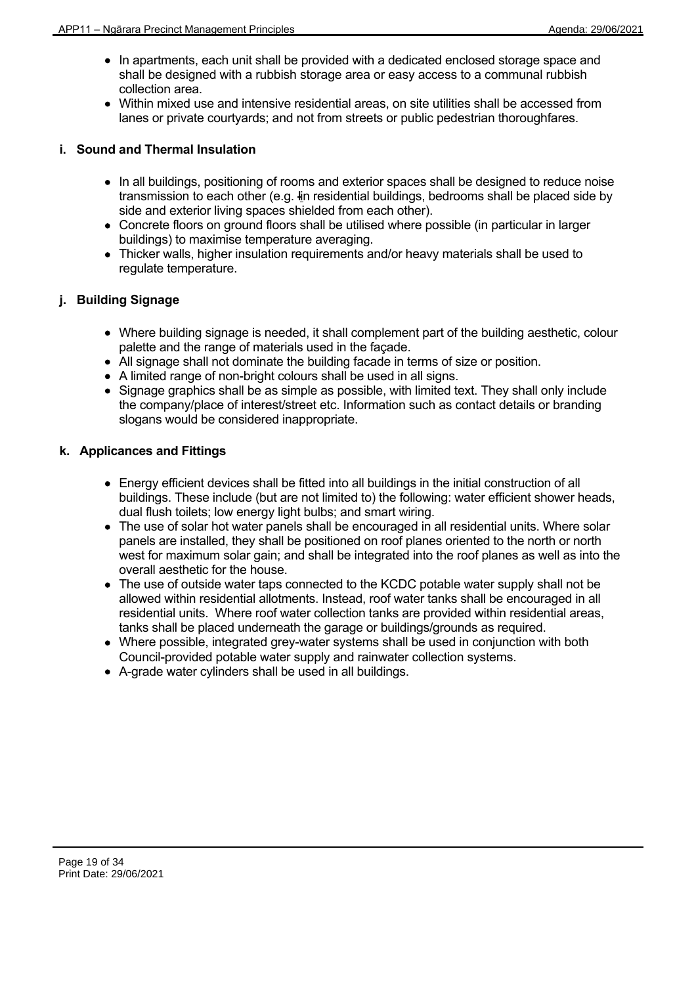- In apartments, each unit shall be provided with a dedicated enclosed storage space and shall be designed with a rubbish storage area or easy access to a communal rubbish collection area.
- Within mixed use and intensive residential areas, on site utilities shall be accessed from lanes or private courtyards; and not from streets or public pedestrian thoroughfares.

# **i. Sound and Thermal Insulation**

- In all buildings, positioning of rooms and exterior spaces shall be designed to reduce noise transmission to each other (e.g. Iin residential buildings, bedrooms shall be placed side by side and exterior living spaces shielded from each other).
- Concrete floors on ground floors shall be utilised where possible (in particular in larger buildings) to maximise temperature averaging.
- Thicker walls, higher insulation requirements and/or heavy materials shall be used to regulate temperature.

# **j. Building Signage**

- Where building signage is needed, it shall complement part of the building aesthetic, colour palette and the range of materials used in the façade.
- All signage shall not dominate the building facade in terms of size or position.
- A limited range of non-bright colours shall be used in all signs.
- Signage graphics shall be as simple as possible, with limited text. They shall only include the company/place of interest/street etc. Information such as contact details or branding slogans would be considered inappropriate.

# **k. Applicances and Fittings**

- Energy efficient devices shall be fitted into all buildings in the initial construction of all buildings. These include (but are not limited to) the following: water efficient shower heads, dual flush toilets; low energy light bulbs; and smart wiring.
- The use of solar hot water panels shall be encouraged in all residential units. Where solar panels are installed, they shall be positioned on roof planes oriented to the north or north west for maximum solar gain; and shall be integrated into the roof planes as well as into the overall aesthetic for the house.
- The use of outside water taps connected to the KCDC potable water supply shall not be allowed within residential allotments. Instead, roof water tanks shall be encouraged in all residential units. Where roof water collection tanks are provided within residential areas, tanks shall be placed underneath the garage or buildings/grounds as required.
- Where possible, integrated grey-water systems shall be used in conjunction with both Council-provided potable water supply and rainwater collection systems.
- A-grade water cylinders shall be used in all buildings.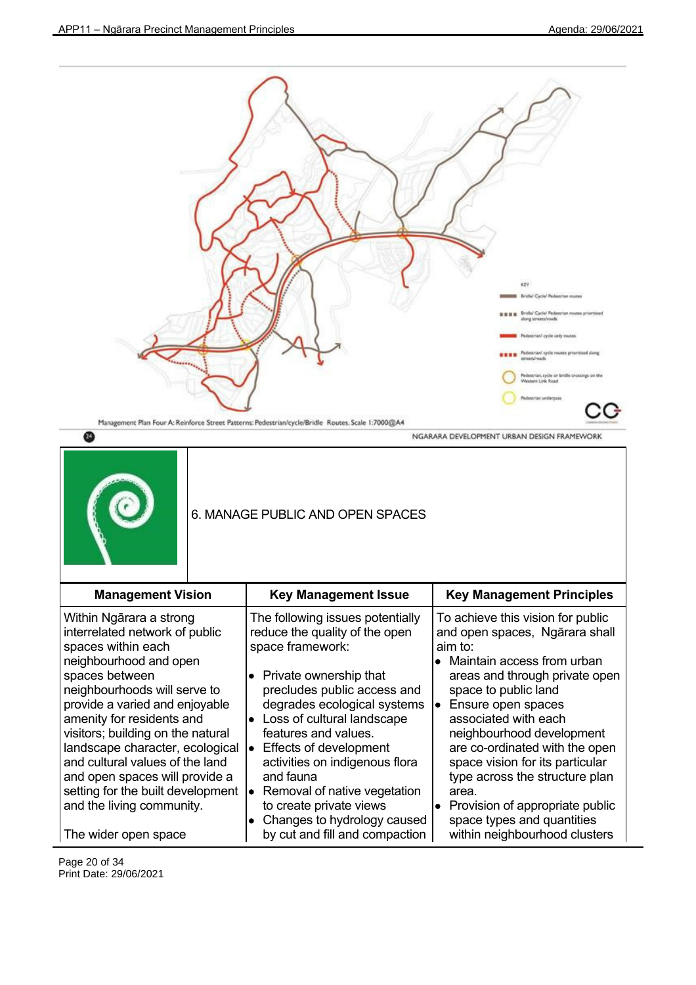NGARARA DEVELOPMENT URBAN DESIGN FRAMEWORK

![](_page_19_Figure_2.jpeg)

 $\boldsymbol{\omega}$ 

![](_page_19_Picture_4.jpeg)

# 6. MANAGE PUBLIC AND OPEN SPACES

| <b>Management Vision</b>                                                                                                                                                                                                                                                                                                                                                                                                                  | <b>Key Management Issue</b>                                                                                                                                                                                                                                                                                                                                                                                                       | <b>Key Management Principles</b>                                                                                                                                                                                                                                                                                                                                                                                                             |
|-------------------------------------------------------------------------------------------------------------------------------------------------------------------------------------------------------------------------------------------------------------------------------------------------------------------------------------------------------------------------------------------------------------------------------------------|-----------------------------------------------------------------------------------------------------------------------------------------------------------------------------------------------------------------------------------------------------------------------------------------------------------------------------------------------------------------------------------------------------------------------------------|----------------------------------------------------------------------------------------------------------------------------------------------------------------------------------------------------------------------------------------------------------------------------------------------------------------------------------------------------------------------------------------------------------------------------------------------|
| Within Ngārara a strong<br>interrelated network of public<br>spaces within each<br>neighbourhood and open<br>spaces between<br>neighbourhoods will serve to<br>provide a varied and enjoyable<br>amenity for residents and<br>visitors; building on the natural<br>landscape character, ecological<br>and cultural values of the land<br>and open spaces will provide a<br>setting for the built development<br>and the living community. | The following issues potentially<br>reduce the quality of the open<br>space framework:<br>$\bullet$ Private ownership that<br>precludes public access and<br>degrades ecological systems<br>$\bullet$ Loss of cultural landscape<br>features and values.<br>Effects of development<br>activities on indigenous flora<br>and fauna<br>Removal of native vegetation<br>lo<br>to create private views<br>Changes to hydrology caused | To achieve this vision for public<br>and open spaces, Ngārara shall<br>aim to:<br>Maintain access from urban<br>areas and through private open<br>space to public land<br>Ensure open spaces<br>lo i<br>associated with each<br>neighbourhood development<br>are co-ordinated with the open<br>space vision for its particular<br>type across the structure plan<br>area.<br>• Provision of appropriate public<br>space types and quantities |
| The wider open space                                                                                                                                                                                                                                                                                                                                                                                                                      | by cut and fill and compaction                                                                                                                                                                                                                                                                                                                                                                                                    | within neighbourhood clusters                                                                                                                                                                                                                                                                                                                                                                                                                |

Page 20 of 34 Print Date: 29/06/2021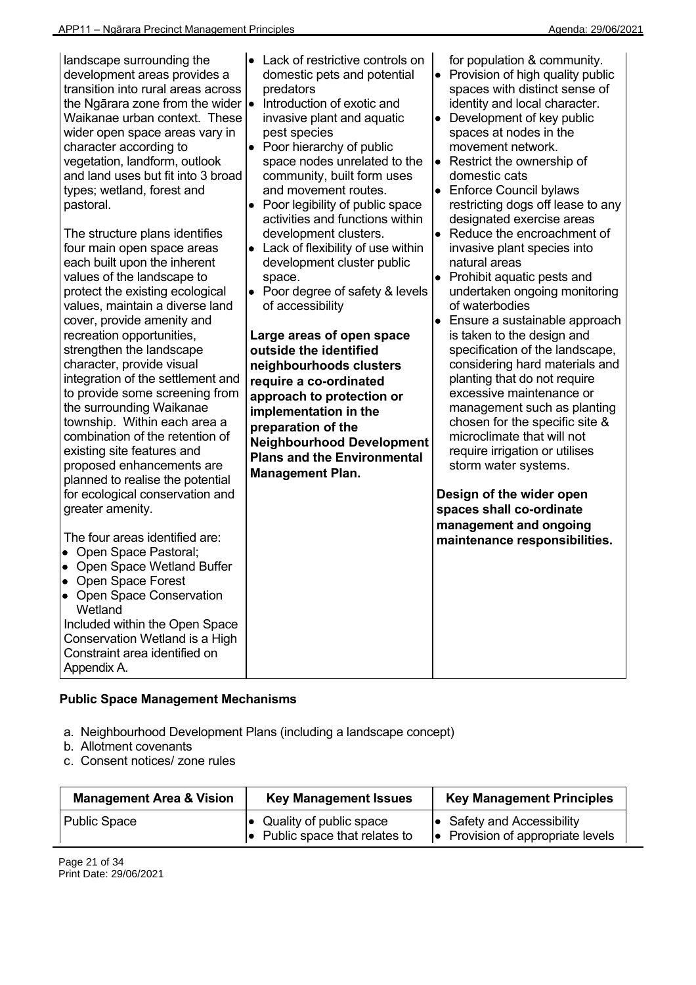| landscape surrounding the<br>development areas provides a<br>transition into rural areas across<br>the Ngārara zone from the wider  .<br>Waikanae urban context. These<br>wider open space areas vary in<br>character according to<br>vegetation, landform, outlook<br>and land uses but fit into 3 broad<br>types; wetland, forest and<br>pastoral.<br>The structure plans identifies<br>four main open space areas<br>each built upon the inherent<br>values of the landscape to<br>protect the existing ecological<br>values, maintain a diverse land<br>cover, provide amenity and<br>recreation opportunities,<br>strengthen the landscape<br>character, provide visual<br>integration of the settlement and<br>to provide some screening from<br>the surrounding Waikanae<br>township. Within each area a<br>combination of the retention of<br>existing site features and<br>proposed enhancements are<br>planned to realise the potential<br>for ecological conservation and<br>greater amenity.<br>The four areas identified are: | Lack of restrictive controls on<br>$\bullet$<br>domestic pets and potential<br>predators<br>Introduction of exotic and<br>invasive plant and aquatic<br>pest species<br>Poor hierarchy of public<br>$\bullet$<br>space nodes unrelated to the<br>community, built form uses<br>and movement routes.<br>Poor legibility of public space<br>$\bullet$<br>activities and functions within<br>development clusters.<br>Lack of flexibility of use within<br>$\bullet$<br>development cluster public<br>space.<br>Poor degree of safety & levels<br>$\bullet$<br>of accessibility<br>Large areas of open space<br>outside the identified<br>neighbourhoods clusters<br>require a co-ordinated<br>approach to protection or<br>implementation in the<br>preparation of the<br><b>Neighbourhood Development</b><br><b>Plans and the Environmental</b><br><b>Management Plan.</b> | for population & community.<br>• Provision of high quality public<br>spaces with distinct sense of<br>identity and local character.<br>Development of key public<br>$\bullet$<br>spaces at nodes in the<br>movement network.<br>Restrict the ownership of<br>$\bullet$<br>domestic cats<br>• Enforce Council bylaws<br>restricting dogs off lease to any<br>designated exercise areas<br>$\bullet$<br>Reduce the encroachment of<br>invasive plant species into<br>natural areas<br>• Prohibit aquatic pests and<br>undertaken ongoing monitoring<br>of waterbodies<br>Ensure a sustainable approach<br>is taken to the design and<br>specification of the landscape,<br>considering hard materials and<br>planting that do not require<br>excessive maintenance or<br>management such as planting<br>chosen for the specific site &<br>microclimate that will not<br>require irrigation or utilises<br>storm water systems.<br>Design of the wider open<br>spaces shall co-ordinate<br>management and ongoing |
|--------------------------------------------------------------------------------------------------------------------------------------------------------------------------------------------------------------------------------------------------------------------------------------------------------------------------------------------------------------------------------------------------------------------------------------------------------------------------------------------------------------------------------------------------------------------------------------------------------------------------------------------------------------------------------------------------------------------------------------------------------------------------------------------------------------------------------------------------------------------------------------------------------------------------------------------------------------------------------------------------------------------------------------------|---------------------------------------------------------------------------------------------------------------------------------------------------------------------------------------------------------------------------------------------------------------------------------------------------------------------------------------------------------------------------------------------------------------------------------------------------------------------------------------------------------------------------------------------------------------------------------------------------------------------------------------------------------------------------------------------------------------------------------------------------------------------------------------------------------------------------------------------------------------------------|----------------------------------------------------------------------------------------------------------------------------------------------------------------------------------------------------------------------------------------------------------------------------------------------------------------------------------------------------------------------------------------------------------------------------------------------------------------------------------------------------------------------------------------------------------------------------------------------------------------------------------------------------------------------------------------------------------------------------------------------------------------------------------------------------------------------------------------------------------------------------------------------------------------------------------------------------------------------------------------------------------------|
| • Open Space Pastoral;<br>• Open Space Wetland Buffer<br>• Open Space Forest<br><b>Open Space Conservation</b><br>$\bullet$<br>Wetland<br>Included within the Open Space<br>Conservation Wetland is a High<br>Constraint area identified on<br>Appendix A.                                                                                                                                                                                                                                                                                                                                                                                                                                                                                                                                                                                                                                                                                                                                                                                 |                                                                                                                                                                                                                                                                                                                                                                                                                                                                                                                                                                                                                                                                                                                                                                                                                                                                           | maintenance responsibilities.                                                                                                                                                                                                                                                                                                                                                                                                                                                                                                                                                                                                                                                                                                                                                                                                                                                                                                                                                                                  |

# **Public Space Management Mechanisms**

- a. Neighbourhood Development Plans (including a landscape concept)
- b. Allotment covenants
- c. Consent notices/ zone rules

| <b>Management Area &amp; Vision</b> | <b>Key Management Issues</b>                                                | <b>Key Management Principles</b>                                                |
|-------------------------------------|-----------------------------------------------------------------------------|---------------------------------------------------------------------------------|
| <b>Public Space</b>                 | $\bullet$ Quality of public space<br>$\bullet$ Public space that relates to | $\bullet$ Safety and Accessibility<br>$\bullet$ Provision of appropriate levels |

Page 21 of 34 Print Date: 29/06/2021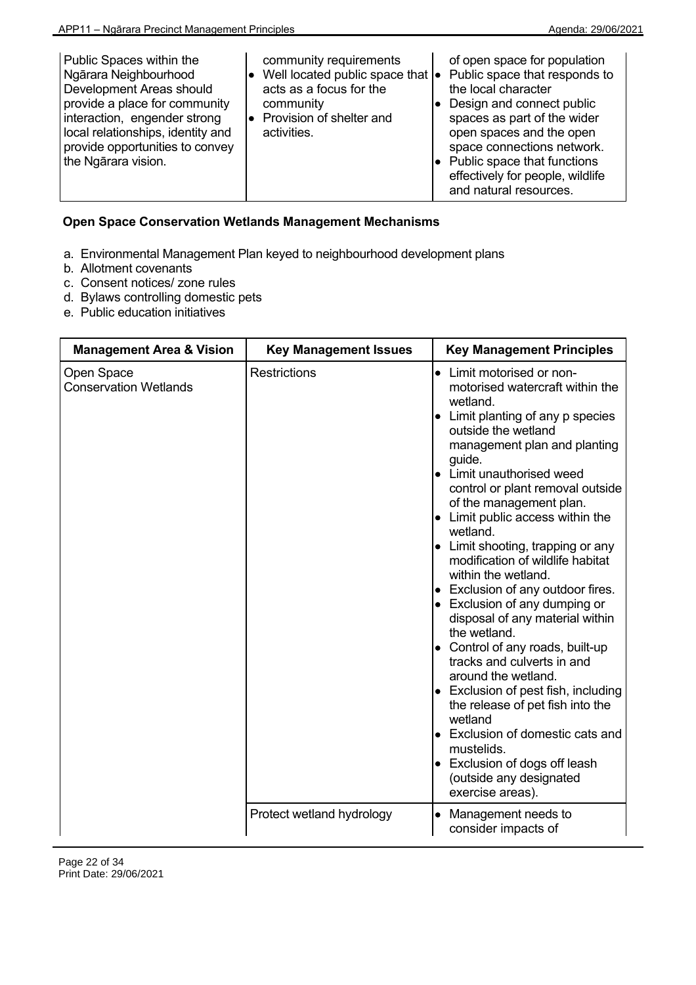| Public Spaces within the<br>Ngārara Neighbourhood<br>Development Areas should<br>provide a place for community<br>interaction, engender strong<br>local relationships, identity and<br>provide opportunities to convey<br>the Ngārara vision. | community requirements<br>Well located public space that $\bullet$<br>acts as a focus for the<br>community<br>Provision of shelter and<br>activities. | of open space for population<br>Public space that responds to<br>the local character<br>Design and connect public<br>spaces as part of the wider<br>open spaces and the open<br>space connections network.<br>Public space that functions<br>effectively for people, wildlife<br>and natural resources. |
|-----------------------------------------------------------------------------------------------------------------------------------------------------------------------------------------------------------------------------------------------|-------------------------------------------------------------------------------------------------------------------------------------------------------|---------------------------------------------------------------------------------------------------------------------------------------------------------------------------------------------------------------------------------------------------------------------------------------------------------|
|-----------------------------------------------------------------------------------------------------------------------------------------------------------------------------------------------------------------------------------------------|-------------------------------------------------------------------------------------------------------------------------------------------------------|---------------------------------------------------------------------------------------------------------------------------------------------------------------------------------------------------------------------------------------------------------------------------------------------------------|

# **Open Space Conservation Wetlands Management Mechanisms**

- a. Environmental Management Plan keyed to neighbourhood development plans
- b. Allotment covenants
- c. Consent notices/ zone rules
- d. Bylaws controlling domestic pets
- e. Public education initiatives

| <b>Management Area &amp; Vision</b>        | <b>Key Management Issues</b> | <b>Key Management Principles</b>                                                                                                                                                                                                                                                                                                                                                                                                                                                                                                                                                                                                                                                                                                                                                                                                                                                                 |
|--------------------------------------------|------------------------------|--------------------------------------------------------------------------------------------------------------------------------------------------------------------------------------------------------------------------------------------------------------------------------------------------------------------------------------------------------------------------------------------------------------------------------------------------------------------------------------------------------------------------------------------------------------------------------------------------------------------------------------------------------------------------------------------------------------------------------------------------------------------------------------------------------------------------------------------------------------------------------------------------|
| Open Space<br><b>Conservation Wetlands</b> | <b>Restrictions</b>          | Limit motorised or non-<br>motorised watercraft within the<br>wetland.<br>Limit planting of any p species<br>$\bullet$<br>outside the wetland<br>management plan and planting<br>guide.<br>• Limit unauthorised weed<br>control or plant removal outside<br>of the management plan.<br>Limit public access within the<br>$\bullet$<br>wetland.<br>• Limit shooting, trapping or any<br>modification of wildlife habitat<br>within the wetland.<br>• Exclusion of any outdoor fires.<br>• Exclusion of any dumping or<br>disposal of any material within<br>the wetland.<br>• Control of any roads, built-up<br>tracks and culverts in and<br>around the wetland.<br>$\bullet$ Exclusion of pest fish, including<br>the release of pet fish into the<br>wetland<br>• Exclusion of domestic cats and<br>mustelids.<br>• Exclusion of dogs off leash<br>(outside any designated<br>exercise areas). |
|                                            | Protect wetland hydrology    | Management needs to<br>$\bullet$<br>consider impacts of                                                                                                                                                                                                                                                                                                                                                                                                                                                                                                                                                                                                                                                                                                                                                                                                                                          |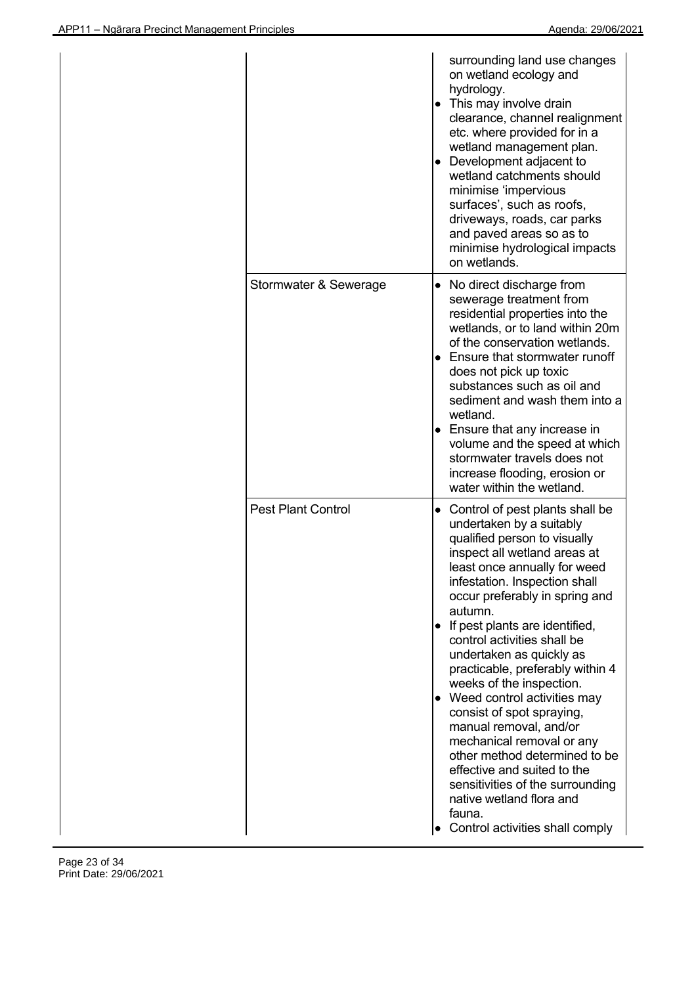|                           | surrounding land use changes<br>on wetland ecology and<br>hydrology.<br>• This may involve drain<br>clearance, channel realignment<br>etc. where provided for in a<br>wetland management plan.<br>• Development adjacent to<br>wetland catchments should<br>minimise 'impervious<br>surfaces', such as roofs,<br>driveways, roads, car parks<br>and paved areas so as to<br>minimise hydrological impacts<br>on wetlands.                                                                                                                                                                                                                                                                                  |
|---------------------------|------------------------------------------------------------------------------------------------------------------------------------------------------------------------------------------------------------------------------------------------------------------------------------------------------------------------------------------------------------------------------------------------------------------------------------------------------------------------------------------------------------------------------------------------------------------------------------------------------------------------------------------------------------------------------------------------------------|
| Stormwater & Sewerage     | • No direct discharge from<br>sewerage treatment from<br>residential properties into the<br>wetlands, or to land within 20m<br>of the conservation wetlands.<br>Ensure that stormwater runoff<br>does not pick up toxic<br>substances such as oil and<br>sediment and wash them into a<br>wetland.<br>• Ensure that any increase in<br>volume and the speed at which<br>stormwater travels does not<br>increase flooding, erosion or<br>water within the wetland.                                                                                                                                                                                                                                          |
| <b>Pest Plant Control</b> | • Control of pest plants shall be<br>undertaken by a suitably<br>qualified person to visually<br>inspect all wetland areas at<br>least once annually for weed<br>infestation. Inspection shall<br>occur preferably in spring and<br>autumn.<br>If pest plants are identified,<br>control activities shall be<br>undertaken as quickly as<br>practicable, preferably within 4<br>weeks of the inspection.<br>• Weed control activities may<br>consist of spot spraying,<br>manual removal, and/or<br>mechanical removal or any<br>other method determined to be<br>effective and suited to the<br>sensitivities of the surrounding<br>native wetland flora and<br>fauna.<br>Control activities shall comply |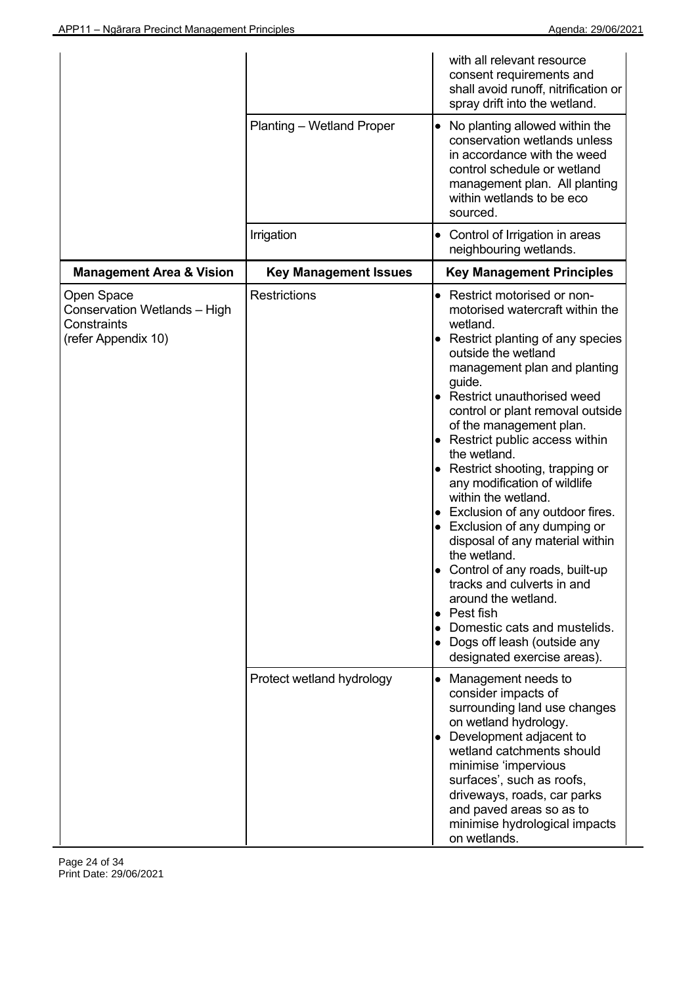|                                                                                  |                              | with all relevant resource<br>consent requirements and<br>shall avoid runoff, nitrification or<br>spray drift into the wetland.                                                                                                                                                                                                                                                                                                                                                                                                                                                                                                                                                                                                                                             |
|----------------------------------------------------------------------------------|------------------------------|-----------------------------------------------------------------------------------------------------------------------------------------------------------------------------------------------------------------------------------------------------------------------------------------------------------------------------------------------------------------------------------------------------------------------------------------------------------------------------------------------------------------------------------------------------------------------------------------------------------------------------------------------------------------------------------------------------------------------------------------------------------------------------|
|                                                                                  | Planting - Wetland Proper    | No planting allowed within the<br>$\bullet$<br>conservation wetlands unless<br>in accordance with the weed<br>control schedule or wetland<br>management plan. All planting<br>within wetlands to be eco<br>sourced.                                                                                                                                                                                                                                                                                                                                                                                                                                                                                                                                                         |
|                                                                                  | Irrigation                   | Control of Irrigation in areas<br>neighbouring wetlands.                                                                                                                                                                                                                                                                                                                                                                                                                                                                                                                                                                                                                                                                                                                    |
| <b>Management Area &amp; Vision</b>                                              | <b>Key Management Issues</b> | <b>Key Management Principles</b>                                                                                                                                                                                                                                                                                                                                                                                                                                                                                                                                                                                                                                                                                                                                            |
| Open Space<br>Conservation Wetlands - High<br>Constraints<br>(refer Appendix 10) | <b>Restrictions</b>          | • Restrict motorised or non-<br>motorised watercraft within the<br>wetland.<br>• Restrict planting of any species<br>outside the wetland<br>management plan and planting<br>guide.<br>• Restrict unauthorised weed<br>control or plant removal outside<br>of the management plan.<br>• Restrict public access within<br>the wetland.<br>• Restrict shooting, trapping or<br>any modification of wildlife<br>within the wetland.<br>• Exclusion of any outdoor fires.<br>• Exclusion of any dumping or<br>disposal of any material within<br>the wetland.<br>• Control of any roads, built-up<br>tracks and culverts in and<br>around the wetland.<br>Pest fish<br>$\bullet$<br>Domestic cats and mustelids.<br>• Dogs off leash (outside any<br>designated exercise areas). |
|                                                                                  | Protect wetland hydrology    | Management needs to<br>$\bullet$<br>consider impacts of<br>surrounding land use changes<br>on wetland hydrology.<br>• Development adjacent to<br>wetland catchments should<br>minimise 'impervious<br>surfaces', such as roofs,<br>driveways, roads, car parks<br>and paved areas so as to<br>minimise hydrological impacts<br>on wetlands.                                                                                                                                                                                                                                                                                                                                                                                                                                 |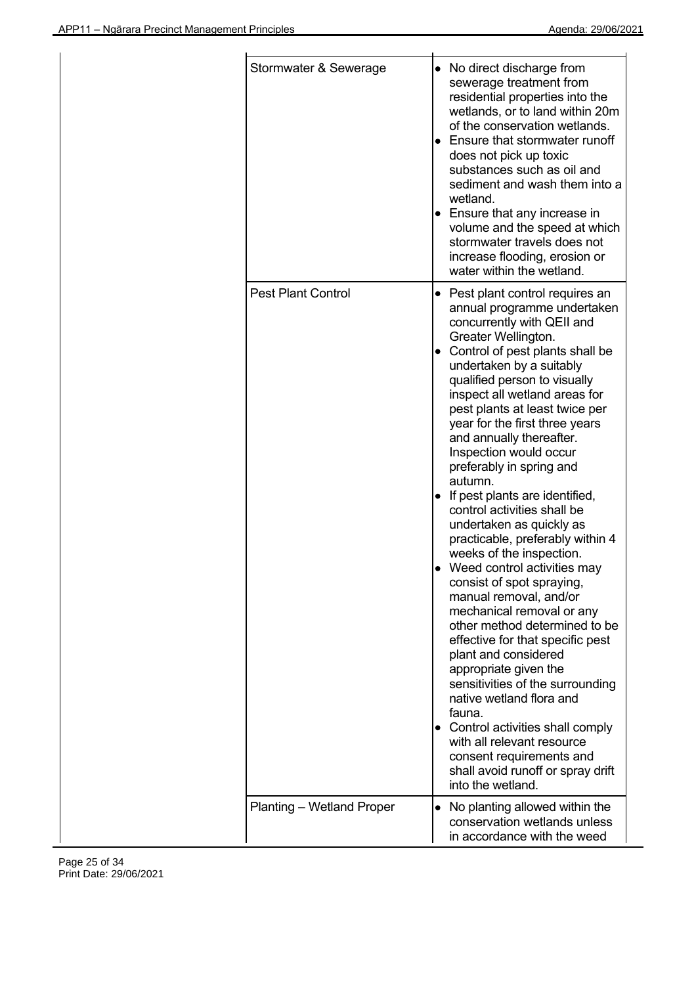| Stormwater & Sewerage     |   | • No direct discharge from<br>sewerage treatment from<br>residential properties into the<br>wetlands, or to land within 20m<br>of the conservation wetlands.<br>Ensure that stormwater runoff<br>does not pick up toxic<br>substances such as oil and<br>sediment and wash them into a<br>wetland.<br>• Ensure that any increase in<br>volume and the speed at which<br>stormwater travels does not<br>increase flooding, erosion or<br>water within the wetland.                                                                                                                                                                                                                                                                                                                                                                                                                                                                                                                                                                                                |
|---------------------------|---|------------------------------------------------------------------------------------------------------------------------------------------------------------------------------------------------------------------------------------------------------------------------------------------------------------------------------------------------------------------------------------------------------------------------------------------------------------------------------------------------------------------------------------------------------------------------------------------------------------------------------------------------------------------------------------------------------------------------------------------------------------------------------------------------------------------------------------------------------------------------------------------------------------------------------------------------------------------------------------------------------------------------------------------------------------------|
| <b>Pest Plant Control</b> |   | • Pest plant control requires an<br>annual programme undertaken<br>concurrently with QEII and<br>Greater Wellington.<br>Control of pest plants shall be<br>undertaken by a suitably<br>qualified person to visually<br>inspect all wetland areas for<br>pest plants at least twice per<br>year for the first three years<br>and annually thereafter.<br>Inspection would occur<br>preferably in spring and<br>autumn.<br>• If pest plants are identified,<br>control activities shall be<br>undertaken as quickly as<br>practicable, preferably within 4<br>weeks of the inspection.<br>Weed control activities may<br>consist of spot spraying,<br>manual removal, and/or<br>mechanical removal or any<br>other method determined to be<br>effective for that specific pest<br>plant and considered<br>appropriate given the<br>sensitivities of the surrounding<br>native wetland flora and<br>fauna.<br>• Control activities shall comply<br>with all relevant resource<br>consent requirements and<br>shall avoid runoff or spray drift<br>into the wetland. |
| Planting - Wetland Proper | ٠ | No planting allowed within the<br>conservation wetlands unless<br>in accordance with the weed                                                                                                                                                                                                                                                                                                                                                                                                                                                                                                                                                                                                                                                                                                                                                                                                                                                                                                                                                                    |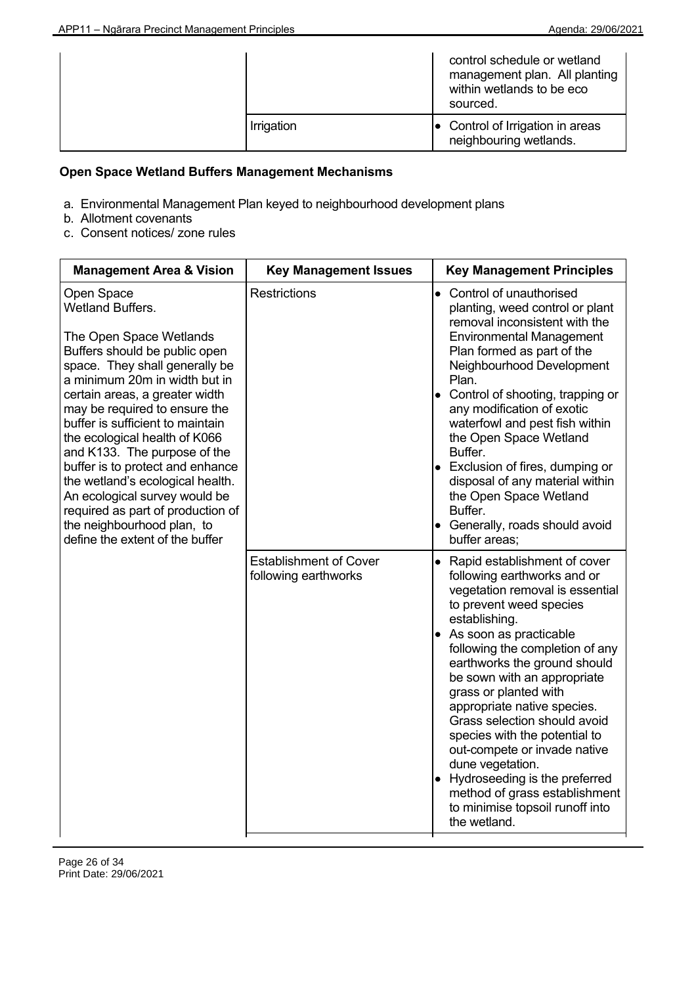|  |            | control schedule or wetland<br>management plan. All planting<br>within wetlands to be eco<br>sourced. |
|--|------------|-------------------------------------------------------------------------------------------------------|
|  | Irrigation | $\bullet$ Control of Irrigation in areas<br>neighbouring wetlands.                                    |

# **Open Space Wetland Buffers Management Mechanisms**

- a. Environmental Management Plan keyed to neighbourhood development plans
- b. Allotment covenants
- c. Consent notices/ zone rules

| <b>Management Area &amp; Vision</b>                                                                                                                                                                                                                                                                                                                                                                                                                                                                                                                         | <b>Key Management Issues</b>                          | <b>Key Management Principles</b>                                                                                                                                                                                                                                                                                                                                                                                                                                                                                                                                               |
|-------------------------------------------------------------------------------------------------------------------------------------------------------------------------------------------------------------------------------------------------------------------------------------------------------------------------------------------------------------------------------------------------------------------------------------------------------------------------------------------------------------------------------------------------------------|-------------------------------------------------------|--------------------------------------------------------------------------------------------------------------------------------------------------------------------------------------------------------------------------------------------------------------------------------------------------------------------------------------------------------------------------------------------------------------------------------------------------------------------------------------------------------------------------------------------------------------------------------|
| Open Space<br><b>Wetland Buffers.</b><br>The Open Space Wetlands<br>Buffers should be public open<br>space. They shall generally be<br>a minimum 20m in width but in<br>certain areas, a greater width<br>may be required to ensure the<br>buffer is sufficient to maintain<br>the ecological health of K066<br>and K133. The purpose of the<br>buffer is to protect and enhance<br>the wetland's ecological health.<br>An ecological survey would be<br>required as part of production of<br>the neighbourhood plan, to<br>define the extent of the buffer | <b>Restrictions</b>                                   | Control of unauthorised<br>$\bullet$<br>planting, weed control or plant<br>removal inconsistent with the<br><b>Environmental Management</b><br>Plan formed as part of the<br>Neighbourhood Development<br>Plan.<br>• Control of shooting, trapping or<br>any modification of exotic<br>waterfowl and pest fish within<br>the Open Space Wetland<br>Buffer.<br>• Exclusion of fires, dumping or<br>disposal of any material within<br>the Open Space Wetland<br>Buffer.<br>• Generally, roads should avoid<br>buffer areas;                                                     |
|                                                                                                                                                                                                                                                                                                                                                                                                                                                                                                                                                             | <b>Establishment of Cover</b><br>following earthworks | • Rapid establishment of cover<br>following earthworks and or<br>vegetation removal is essential<br>to prevent weed species<br>establishing.<br>• As soon as practicable<br>following the completion of any<br>earthworks the ground should<br>be sown with an appropriate<br>grass or planted with<br>appropriate native species.<br>Grass selection should avoid<br>species with the potential to<br>out-compete or invade native<br>dune vegetation.<br>• Hydroseeding is the preferred<br>method of grass establishment<br>to minimise topsoil runoff into<br>the wetland. |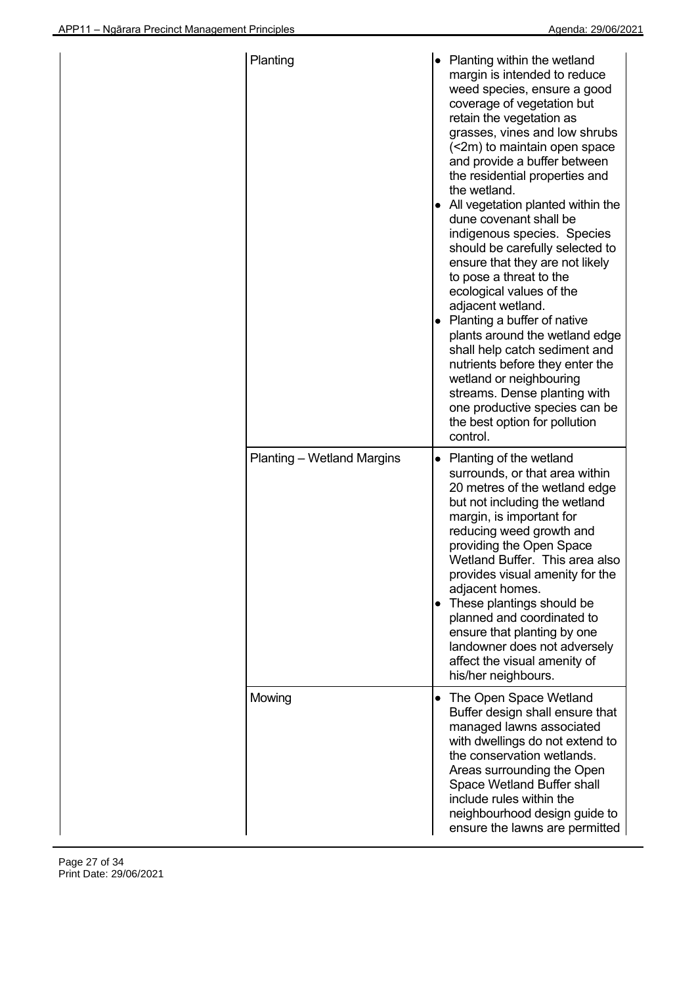| Planting                          | ٠ | Planting within the wetland<br>margin is intended to reduce<br>weed species, ensure a good<br>coverage of vegetation but<br>retain the vegetation as<br>grasses, vines and low shrubs<br>(<2m) to maintain open space<br>and provide a buffer between<br>the residential properties and<br>the wetland.<br>All vegetation planted within the<br>dune covenant shall be<br>indigenous species. Species<br>should be carefully selected to<br>ensure that they are not likely<br>to pose a threat to the<br>ecological values of the<br>adjacent wetland.<br>Planting a buffer of native<br>plants around the wetland edge<br>shall help catch sediment and<br>nutrients before they enter the<br>wetland or neighbouring<br>streams. Dense planting with<br>one productive species can be<br>the best option for pollution<br>control. |
|-----------------------------------|---|---------------------------------------------------------------------------------------------------------------------------------------------------------------------------------------------------------------------------------------------------------------------------------------------------------------------------------------------------------------------------------------------------------------------------------------------------------------------------------------------------------------------------------------------------------------------------------------------------------------------------------------------------------------------------------------------------------------------------------------------------------------------------------------------------------------------------------------|
| <b>Planting – Wetland Margins</b> | ٠ | Planting of the wetland<br>surrounds, or that area within<br>20 metres of the wetland edge<br>but not including the wetland<br>margin, is important for<br>reducing weed growth and<br>providing the Open Space<br>Wetland Buffer. This area also<br>provides visual amenity for the<br>adjacent homes.<br>These plantings should be<br>planned and coordinated to<br>ensure that planting by one<br>landowner does not adversely<br>affect the visual amenity of<br>his/her neighbours.                                                                                                                                                                                                                                                                                                                                              |
| Mowing                            | ٠ | The Open Space Wetland<br>Buffer design shall ensure that<br>managed lawns associated<br>with dwellings do not extend to<br>the conservation wetlands.<br>Areas surrounding the Open<br>Space Wetland Buffer shall<br>include rules within the<br>neighbourhood design guide to<br>ensure the lawns are permitted                                                                                                                                                                                                                                                                                                                                                                                                                                                                                                                     |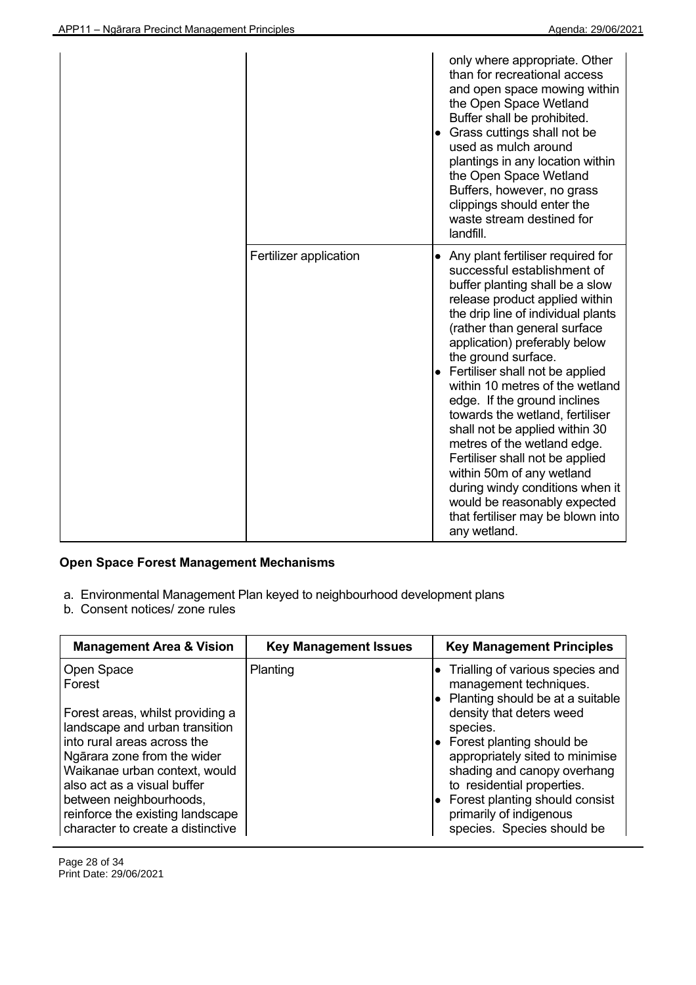|                        | only where appropriate. Other<br>than for recreational access<br>and open space mowing within<br>the Open Space Wetland<br>Buffer shall be prohibited.<br>• Grass cuttings shall not be<br>used as mulch around<br>plantings in any location within<br>the Open Space Wetland<br>Buffers, however, no grass<br>clippings should enter the<br>waste stream destined for<br>landfill.                                                                                                                                                                                                                                                                                     |
|------------------------|-------------------------------------------------------------------------------------------------------------------------------------------------------------------------------------------------------------------------------------------------------------------------------------------------------------------------------------------------------------------------------------------------------------------------------------------------------------------------------------------------------------------------------------------------------------------------------------------------------------------------------------------------------------------------|
| Fertilizer application | • Any plant fertiliser required for<br>successful establishment of<br>buffer planting shall be a slow<br>release product applied within<br>the drip line of individual plants<br>(rather than general surface<br>application) preferably below<br>the ground surface.<br>Fertiliser shall not be applied<br>within 10 metres of the wetland<br>edge. If the ground inclines<br>towards the wetland, fertiliser<br>shall not be applied within 30<br>metres of the wetland edge.<br>Fertiliser shall not be applied<br>within 50m of any wetland<br>during windy conditions when it<br>would be reasonably expected<br>that fertiliser may be blown into<br>any wetland. |

# **Open Space Forest Management Mechanisms**

- a. Environmental Management Plan keyed to neighbourhood development plans
- b. Consent notices/ zone rules

| <b>Management Area &amp; Vision</b>                                                                                                                                                                                                                                                                                          | <b>Key Management Issues</b> | <b>Key Management Principles</b>                                                                                                                                                                                                                                                                                                                                                     |
|------------------------------------------------------------------------------------------------------------------------------------------------------------------------------------------------------------------------------------------------------------------------------------------------------------------------------|------------------------------|--------------------------------------------------------------------------------------------------------------------------------------------------------------------------------------------------------------------------------------------------------------------------------------------------------------------------------------------------------------------------------------|
| Open Space<br>Forest<br>Forest areas, whilst providing a<br>landscape and urban transition<br>into rural areas across the<br>Ngārara zone from the wider<br>Waikanae urban context, would<br>also act as a visual buffer<br>between neighbourhoods,<br>reinforce the existing landscape<br>character to create a distinctive | Planting                     | Trialling of various species and<br>management techniques.<br>• Planting should be at a suitable<br>density that deters weed<br>species.<br>$\bullet$ Forest planting should be<br>appropriately sited to minimise<br>shading and canopy overhang<br>to residential properties.<br>$\bullet$ Forest planting should consist<br>primarily of indigenous<br>species. Species should be |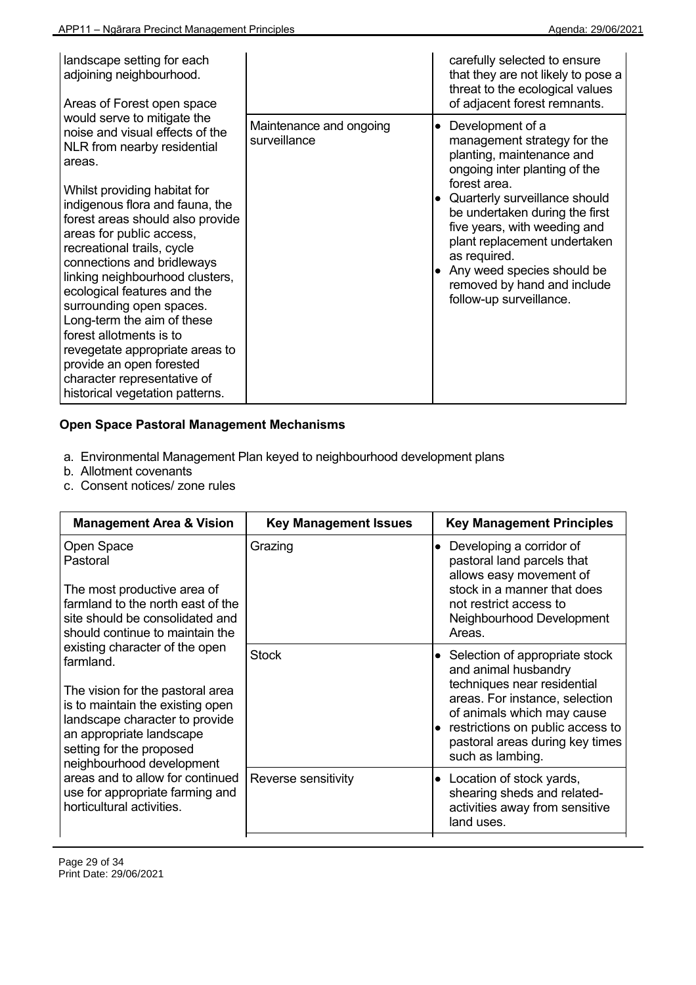| landscape setting for each<br>adjoining neighbourhood.<br>Areas of Forest open space                                                                                                                                                                                                                                                                                                                                                                                                                                                                                                           |                                         | carefully selected to ensure<br>that they are not likely to pose a<br>threat to the ecological values<br>of adjacent forest remnants.                                                                                                                                                                                                                                                     |
|------------------------------------------------------------------------------------------------------------------------------------------------------------------------------------------------------------------------------------------------------------------------------------------------------------------------------------------------------------------------------------------------------------------------------------------------------------------------------------------------------------------------------------------------------------------------------------------------|-----------------------------------------|-------------------------------------------------------------------------------------------------------------------------------------------------------------------------------------------------------------------------------------------------------------------------------------------------------------------------------------------------------------------------------------------|
| would serve to mitigate the<br>noise and visual effects of the<br>NLR from nearby residential<br>areas.<br>Whilst providing habitat for<br>indigenous flora and fauna, the<br>forest areas should also provide<br>areas for public access,<br>recreational trails, cycle<br>connections and bridleways<br>linking neighbourhood clusters,<br>ecological features and the<br>surrounding open spaces.<br>Long-term the aim of these<br>forest allotments is to<br>revegetate appropriate areas to<br>provide an open forested<br>character representative of<br>historical vegetation patterns. | Maintenance and ongoing<br>surveillance | Development of a<br>$\bullet$<br>management strategy for the<br>planting, maintenance and<br>ongoing inter planting of the<br>forest area.<br>• Quarterly surveillance should<br>be undertaken during the first<br>five years, with weeding and<br>plant replacement undertaken<br>as required.<br>• Any weed species should be<br>removed by hand and include<br>follow-up surveillance. |

# **Open Space Pastoral Management Mechanisms**

- a. Environmental Management Plan keyed to neighbourhood development plans
- b. Allotment covenants
- c. Consent notices/ zone rules

| <b>Management Area &amp; Vision</b>                                                                                                                                                                                                                                                                                                                                                                                                                                                                                | <b>Key Management Issues</b> | <b>Key Management Principles</b>                                                                                                                                                                                                                   |
|--------------------------------------------------------------------------------------------------------------------------------------------------------------------------------------------------------------------------------------------------------------------------------------------------------------------------------------------------------------------------------------------------------------------------------------------------------------------------------------------------------------------|------------------------------|----------------------------------------------------------------------------------------------------------------------------------------------------------------------------------------------------------------------------------------------------|
| Open Space<br>Pastoral<br>The most productive area of<br>farmland to the north east of the<br>site should be consolidated and<br>should continue to maintain the<br>existing character of the open<br>farmland.<br>The vision for the pastoral area<br>is to maintain the existing open<br>landscape character to provide<br>an appropriate landscape<br>setting for the proposed<br>neighbourhood development<br>areas and to allow for continued<br>use for appropriate farming and<br>horticultural activities. | Grazing                      | Developing a corridor of<br>$\bullet$<br>pastoral land parcels that<br>allows easy movement of<br>stock in a manner that does<br>not restrict access to<br>Neighbourhood Development<br>Areas.                                                     |
|                                                                                                                                                                                                                                                                                                                                                                                                                                                                                                                    | <b>Stock</b>                 | • Selection of appropriate stock<br>and animal husbandry<br>techniques near residential<br>areas. For instance, selection<br>of animals which may cause<br>restrictions on public access to<br>pastoral areas during key times<br>such as lambing. |
|                                                                                                                                                                                                                                                                                                                                                                                                                                                                                                                    | Reverse sensitivity          | Location of stock yards,<br>$\bullet$<br>shearing sheds and related-<br>activities away from sensitive<br>land uses.                                                                                                                               |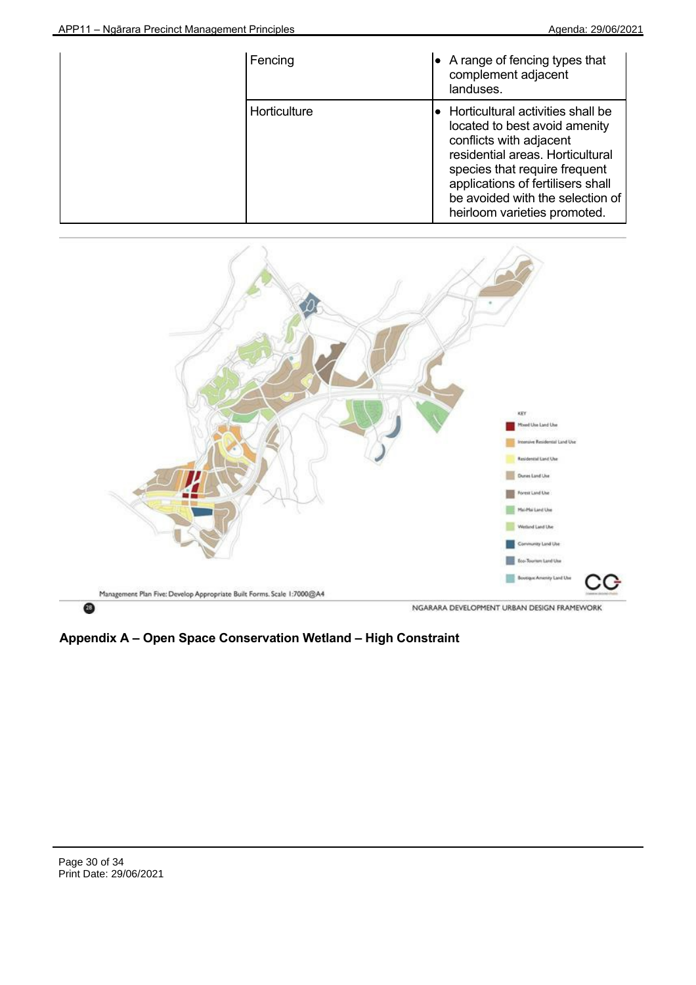| Fencing      | $\bullet$ A range of fencing types that<br>complement adjacent<br>landuses.                                                                                                                                                                                                           |
|--------------|---------------------------------------------------------------------------------------------------------------------------------------------------------------------------------------------------------------------------------------------------------------------------------------|
| Horticulture | $\bullet$ Horticultural activities shall be<br>located to best avoid amenity<br>conflicts with adjacent<br>residential areas. Horticultural<br>species that require frequent<br>applications of fertilisers shall<br>be avoided with the selection of<br>heirloom varieties promoted. |

![](_page_29_Figure_3.jpeg)

**Appendix A – Open Space Conservation Wetland – High Constraint**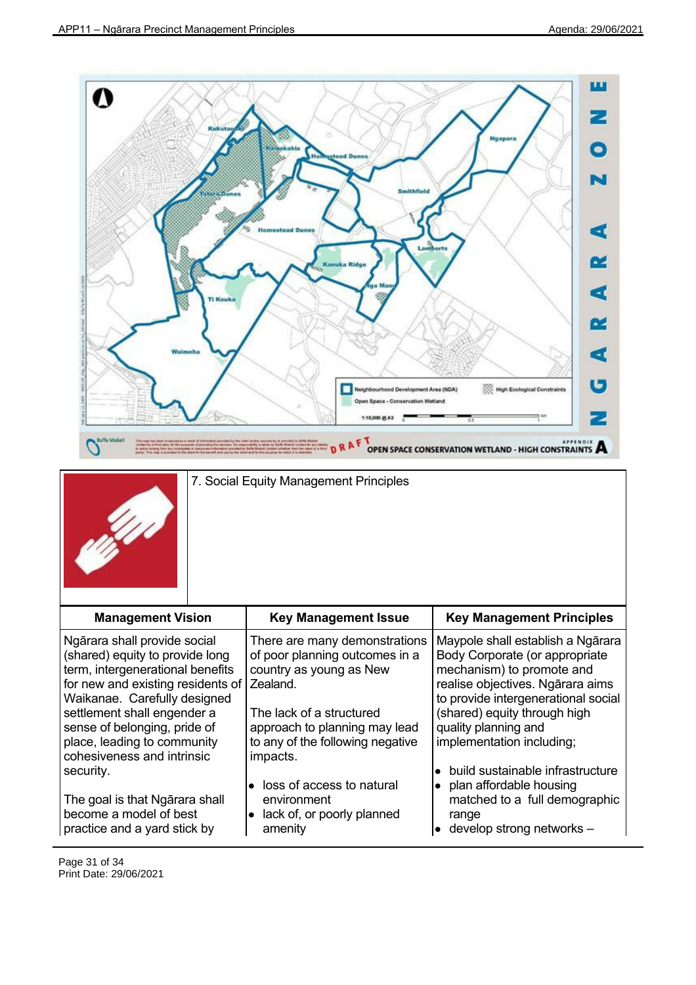![](_page_30_Figure_2.jpeg)

7. Social Equity Management Principles

![](_page_30_Picture_4.jpeg)

| <b>Management Vision</b>                                                                                                                                 | <b>Key Management Issue</b>                                                                               | <b>Key Management Principles</b>                                                                                                                          |
|----------------------------------------------------------------------------------------------------------------------------------------------------------|-----------------------------------------------------------------------------------------------------------|-----------------------------------------------------------------------------------------------------------------------------------------------------------|
| Ngārara shall provide social<br>(shared) equity to provide long<br>term, intergenerational benefits<br>for new and existing residents of                 | There are many demonstrations<br>of poor planning outcomes in a<br>country as young as New<br>Zealand.    | Maypole shall establish a Ngārara<br>Body Corporate (or appropriate<br>mechanism) to promote and<br>realise objectives. Ngārara aims                      |
| Waikanae. Carefully designed<br>settlement shall engender a<br>sense of belonging, pride of<br>place, leading to community<br>cohesiveness and intrinsic | The lack of a structured<br>approach to planning may lead<br>to any of the following negative<br>impacts. | to provide intergenerational social<br>(shared) equity through high<br>quality planning and<br>implementation including;                                  |
| security.<br>The goal is that Ngarara shall<br>become a model of best<br>practice and a yard stick by                                                    | loss of access to natural<br>environment<br>lack of, or poorly planned<br>amenity                         | build sustainable infrastructure<br>$\bullet$<br>$\bullet$ plan affordable housing<br>matched to a full demographic<br>range<br>develop strong networks - |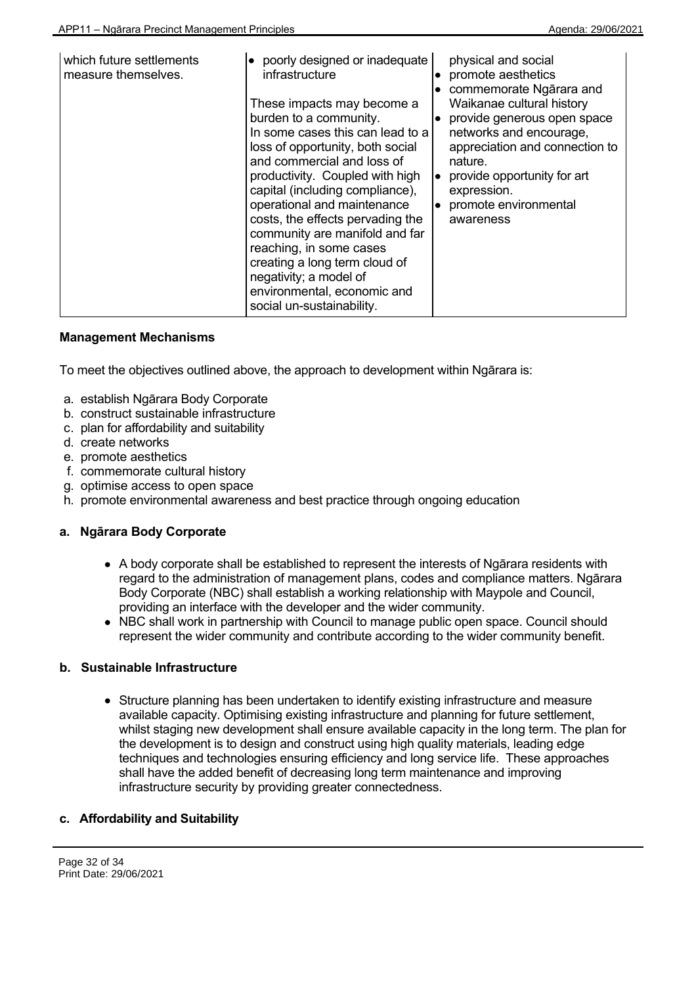| which future settlements<br>measure themselves. | poorly designed or inadequate<br>infrastructure<br>These impacts may become a<br>burden to a community.<br>In some cases this can lead to a<br>loss of opportunity, both social<br>and commercial and loss of<br>productivity. Coupled with high<br>capital (including compliance),<br>operational and maintenance<br>costs, the effects pervading the<br>community are manifold and far<br>reaching, in some cases<br>creating a long term cloud of<br>negativity; a model of | physical and social<br>promote aesthetics<br>$\bullet$<br>commemorate Ngarara and<br>$\bullet$<br>Waikanae cultural history<br>provide generous open space<br>networks and encourage,<br>appreciation and connection to<br>nature.<br>provide opportunity for art<br>$\bullet$<br>expression.<br>promote environmental<br>$\bullet$<br>awareness |
|-------------------------------------------------|--------------------------------------------------------------------------------------------------------------------------------------------------------------------------------------------------------------------------------------------------------------------------------------------------------------------------------------------------------------------------------------------------------------------------------------------------------------------------------|--------------------------------------------------------------------------------------------------------------------------------------------------------------------------------------------------------------------------------------------------------------------------------------------------------------------------------------------------|
|                                                 | environmental, economic and<br>social un-sustainability.                                                                                                                                                                                                                                                                                                                                                                                                                       |                                                                                                                                                                                                                                                                                                                                                  |

To meet the objectives outlined above, the approach to development within Ngārara is:

- a. establish Ngārara Body Corporate
- b. construct sustainable infrastructure
- c. plan for affordability and suitability
- d. create networks
- e. promote aesthetics
- f. commemorate cultural history
- g. optimise access to open space
- h. promote environmental awareness and best practice through ongoing education

# **a. Ngārara Body Corporate**

- A body corporate shall be established to represent the interests of Ngārara residents with regard to the administration of management plans, codes and compliance matters. Ngārara Body Corporate (NBC) shall establish a working relationship with Maypole and Council, providing an interface with the developer and the wider community.
- NBC shall work in partnership with Council to manage public open space. Council should represent the wider community and contribute according to the wider community benefit.

# **b. Sustainable Infrastructure**

Structure planning has been undertaken to identify existing infrastructure and measure available capacity. Optimising existing infrastructure and planning for future settlement, whilst staging new development shall ensure available capacity in the long term. The plan for the development is to design and construct using high quality materials, leading edge techniques and technologies ensuring efficiency and long service life. These approaches shall have the added benefit of decreasing long term maintenance and improving infrastructure security by providing greater connectedness.

# **c. Affordability and Suitability**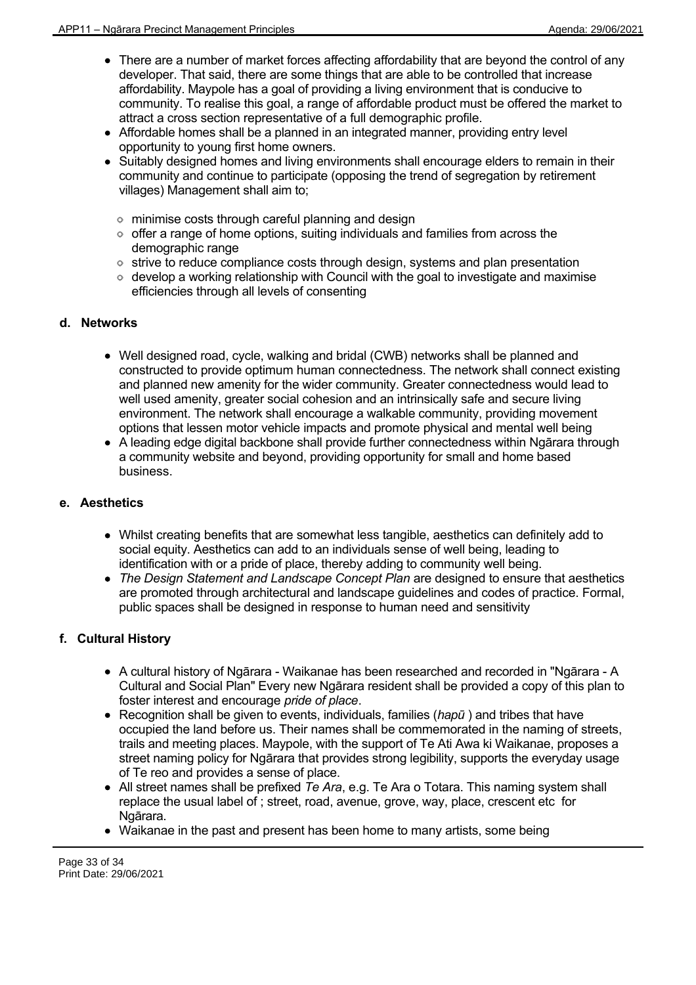- There are a number of market forces affecting affordability that are beyond the control of any developer. That said, there are some things that are able to be controlled that increase affordability. Maypole has a goal of providing a living environment that is conducive to community. To realise this goal, a range of affordable product must be offered the market to attract a cross section representative of a full demographic profile.
- Affordable homes shall be a planned in an integrated manner, providing entry level opportunity to young first home owners.
- Suitably designed homes and living environments shall encourage elders to remain in their community and continue to participate (opposing the trend of segregation by retirement villages) Management shall aim to;
	- minimise costs through careful planning and design
	- $\circ$  offer a range of home options, suiting individuals and families from across the demographic range
	- o strive to reduce compliance costs through design, systems and plan presentation
	- $\circ$  develop a working relationship with Council with the goal to investigate and maximise efficiencies through all levels of consenting

# **d. Networks**

- Well designed road, cycle, walking and bridal (CWB) networks shall be planned and constructed to provide optimum human connectedness. The network shall connect existing and planned new amenity for the wider community. Greater connectedness would lead to well used amenity, greater social cohesion and an intrinsically safe and secure living environment. The network shall encourage a walkable community, providing movement options that lessen motor vehicle impacts and promote physical and mental well being
- A leading edge digital backbone shall provide further connectedness within Ngārara through a community website and beyond, providing opportunity for small and home based business.

# **e. Aesthetics**

- Whilst creating benefits that are somewhat less tangible, aesthetics can definitely add to social equity. Aesthetics can add to an individuals sense of well being, leading to identification with or a pride of place, thereby adding to community well being.
- *The Design Statement and Landscape Concept Plan* are designed to ensure that aesthetics are promoted through architectural and landscape guidelines and codes of practice. Formal, public spaces shall be designed in response to human need and sensitivity

# **f. Cultural History**

- A cultural history of Ngārara Waikanae has been researched and recorded in "Ngārara A Cultural and Social Plan" Every new Ngārara resident shall be provided a copy of this plan to foster interest and encourage *pride of place*.
- Recognition shall be given to events, individuals, families (*hapū* ) and tribes that have occupied the land before us. Their names shall be commemorated in the naming of streets, trails and meeting places. Maypole, with the support of Te Ati Awa ki Waikanae, proposes a street naming policy for Ngārara that provides strong legibility, supports the everyday usage of Te reo and provides a sense of place.
- All street names shall be prefixed *Te Ara*, e.g. Te Ara o Totara. This naming system shall replace the usual label of ; street, road, avenue, grove, way, place, crescent etc for Ngārara.
- Waikanae in the past and present has been home to many artists, some being